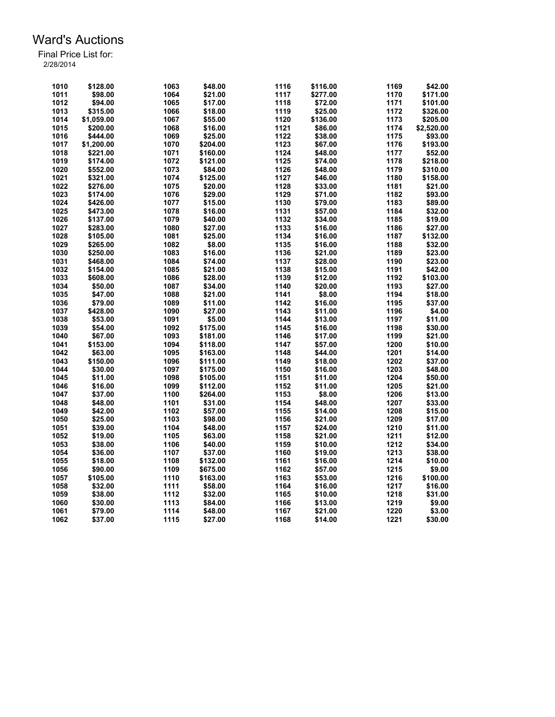| 1010 | \$128.00   | 1063 | \$48.00  | 1116 | \$116.00 | 1169 | \$42.00    |
|------|------------|------|----------|------|----------|------|------------|
| 1011 | \$98.00    | 1064 | \$21.00  | 1117 | \$277.00 | 1170 | \$171.00   |
| 1012 | \$94.00    | 1065 | \$17.00  | 1118 | \$72.00  | 1171 | \$101.00   |
| 1013 | \$315.00   | 1066 | \$18.00  | 1119 | \$25.00  | 1172 | \$326.00   |
|      |            | 1067 |          | 1120 | \$136.00 | 1173 | \$205.00   |
| 1014 | \$1,059.00 |      | \$55.00  | 1121 |          |      |            |
| 1015 | \$200.00   | 1068 | \$16.00  |      | \$86.00  | 1174 | \$2,520.00 |
| 1016 | \$444.00   | 1069 | \$25.00  | 1122 | \$38.00  | 1175 | \$93.00    |
| 1017 | \$1,200.00 | 1070 | \$204.00 | 1123 | \$67.00  | 1176 | \$193.00   |
| 1018 | \$221.00   | 1071 | \$160.00 | 1124 | \$48.00  | 1177 | \$52.00    |
| 1019 | \$174.00   | 1072 | \$121.00 | 1125 | \$74.00  | 1178 | \$218.00   |
| 1020 | \$552.00   | 1073 | \$84.00  | 1126 | \$48.00  | 1179 | \$310.00   |
| 1021 | \$321.00   | 1074 | \$125.00 | 1127 | \$46.00  | 1180 | \$158.00   |
| 1022 | \$276.00   | 1075 | \$20.00  | 1128 | \$33.00  | 1181 | \$21.00    |
| 1023 | \$174.00   | 1076 | \$29.00  | 1129 | \$71.00  | 1182 | \$93.00    |
| 1024 | \$426.00   | 1077 | \$15.00  | 1130 | \$79.00  | 1183 | \$89.00    |
| 1025 | \$473.00   | 1078 | \$16.00  | 1131 | \$57.00  | 1184 | \$32.00    |
| 1026 | \$137.00   | 1079 | \$40.00  | 1132 | \$34.00  | 1185 | \$19.00    |
| 1027 | \$283.00   | 1080 | \$27.00  | 1133 | \$16.00  | 1186 | \$27.00    |
| 1028 | \$105.00   | 1081 | \$25.00  | 1134 | \$16.00  | 1187 | \$132.00   |
| 1029 | \$265.00   | 1082 | \$8.00   | 1135 | \$16.00  | 1188 | \$32.00    |
| 1030 | \$250.00   | 1083 | \$16.00  | 1136 | \$21.00  | 1189 | \$23.00    |
| 1031 | \$468.00   | 1084 | \$74.00  | 1137 | \$28.00  | 1190 | \$23.00    |
| 1032 | \$154.00   | 1085 | \$21.00  | 1138 | \$15.00  | 1191 | \$42.00    |
| 1033 | \$608.00   | 1086 | \$28.00  | 1139 | \$12.00  | 1192 | \$103.00   |
| 1034 | \$50.00    | 1087 | \$34.00  | 1140 | \$20.00  | 1193 | \$27.00    |
| 1035 | \$47.00    | 1088 | \$21.00  | 1141 | \$8.00   | 1194 | \$18.00    |
| 1036 | \$79.00    | 1089 | \$11.00  | 1142 | \$16.00  | 1195 | \$37.00    |
| 1037 | \$428.00   | 1090 | \$27.00  | 1143 | \$11.00  | 1196 | \$4.00     |
| 1038 | \$53.00    | 1091 | \$5.00   | 1144 | \$13.00  | 1197 | \$11.00    |
| 1039 |            |      |          | 1145 |          | 1198 |            |
|      | \$54.00    | 1092 | \$175.00 |      | \$16.00  |      | \$30.00    |
| 1040 | \$67.00    | 1093 | \$181.00 | 1146 | \$17.00  | 1199 | \$21.00    |
| 1041 | \$153.00   | 1094 | \$118.00 | 1147 | \$57.00  | 1200 | \$10.00    |
| 1042 | \$63.00    | 1095 | \$163.00 | 1148 | \$44.00  | 1201 | \$14.00    |
| 1043 | \$150.00   | 1096 | \$111.00 | 1149 | \$18.00  | 1202 | \$37.00    |
| 1044 | \$30.00    | 1097 | \$175.00 | 1150 | \$16.00  | 1203 | \$48.00    |
| 1045 | \$11.00    | 1098 | \$105.00 | 1151 | \$11.00  | 1204 | \$50.00    |
| 1046 | \$16.00    | 1099 | \$112.00 | 1152 | \$11.00  | 1205 | \$21.00    |
| 1047 | \$37.00    | 1100 | \$264.00 | 1153 | \$8.00   | 1206 | \$13.00    |
| 1048 | \$48.00    | 1101 | \$31.00  | 1154 | \$48.00  | 1207 | \$33.00    |
| 1049 | \$42.00    | 1102 | \$57.00  | 1155 | \$14.00  | 1208 | \$15.00    |
| 1050 | \$25.00    | 1103 | \$98.00  | 1156 | \$21.00  | 1209 | \$17.00    |
| 1051 | \$39.00    | 1104 | \$48.00  | 1157 | \$24.00  | 1210 | \$11.00    |
| 1052 | \$19.00    | 1105 | \$63.00  | 1158 | \$21.00  | 1211 | \$12.00    |
| 1053 | \$38.00    | 1106 | \$40.00  | 1159 | \$10.00  | 1212 | \$34.00    |
| 1054 | \$36.00    | 1107 | \$37.00  | 1160 | \$19.00  | 1213 | \$38.00    |
| 1055 | \$18.00    | 1108 | \$132.00 | 1161 | \$16.00  | 1214 | \$10.00    |
| 1056 | \$90.00    | 1109 | \$675.00 | 1162 | \$57.00  | 1215 | \$9.00     |
| 1057 | \$105.00   | 1110 | \$163.00 | 1163 | \$53.00  | 1216 | \$100.00   |
| 1058 | \$32.00    | 1111 | \$58.00  | 1164 | \$16.00  | 1217 | \$16.00    |
| 1059 | \$38.00    | 1112 | \$32.00  | 1165 | \$10.00  | 1218 | \$31.00    |
| 1060 | \$30.00    | 1113 | \$84.00  | 1166 | \$13.00  | 1219 | \$9.00     |
| 1061 | \$79.00    | 1114 | \$48.00  | 1167 | \$21.00  | 1220 | \$3.00     |
| 1062 | \$37.00    | 1115 | \$27.00  | 1168 | \$14.00  | 1221 | \$30.00    |
|      |            |      |          |      |          |      |            |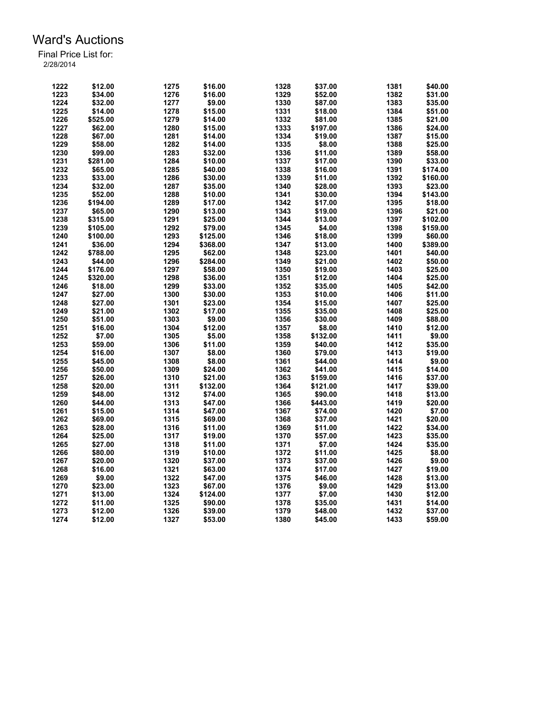| 1222 | \$12.00  | 1275 | \$16.00  | 1328 | \$37.00            | 1381 | \$40.00  |
|------|----------|------|----------|------|--------------------|------|----------|
| 1223 | \$34.00  | 1276 | \$16.00  | 1329 | \$52.00            | 1382 | \$31.00  |
| 1224 | \$32.00  | 1277 | \$9.00   | 1330 | \$87.00            | 1383 | \$35.00  |
| 1225 | \$14.00  | 1278 | \$15.00  | 1331 | \$18.00            | 1384 | \$51.00  |
| 1226 | \$525.00 | 1279 | \$14.00  | 1332 | \$81.00            | 1385 | \$21.00  |
| 1227 | \$62.00  | 1280 | \$15.00  | 1333 | \$197.00           | 1386 | \$24.00  |
| 1228 | \$67.00  | 1281 | \$14.00  | 1334 | \$19.00            | 1387 | \$15.00  |
| 1229 | \$58.00  | 1282 | \$14.00  | 1335 | \$8.00             | 1388 | \$25.00  |
| 1230 | \$99.00  | 1283 | \$32.00  | 1336 | \$11.00            | 1389 | \$58.00  |
| 1231 | \$281.00 | 1284 | \$10.00  | 1337 | \$17.00            | 1390 | \$33.00  |
| 1232 | \$65.00  | 1285 | \$40.00  | 1338 | \$16.00            | 1391 | \$174.00 |
| 1233 | \$33.00  | 1286 | \$30.00  | 1339 | \$11.00            | 1392 | \$160.00 |
| 1234 | \$32.00  | 1287 | \$35.00  | 1340 | \$28.00            | 1393 | \$23.00  |
| 1235 | \$52.00  | 1288 | \$10.00  | 1341 | \$30.00            | 1394 | \$143.00 |
| 1236 | \$194.00 | 1289 | \$17.00  | 1342 | \$17.00            | 1395 | \$18.00  |
| 1237 | \$65.00  | 1290 | \$13.00  | 1343 | \$19.00            | 1396 | \$21.00  |
| 1238 | \$315.00 | 1291 | \$25.00  | 1344 | \$13.00            | 1397 | \$102.00 |
| 1239 | \$105.00 | 1292 | \$79.00  | 1345 | \$4.00             | 1398 | \$159.00 |
| 1240 | \$100.00 | 1293 | \$125.00 | 1346 | \$18.00            | 1399 | \$60.00  |
| 1241 | \$36.00  | 1294 | \$368.00 | 1347 | \$13.00            | 1400 | \$389.00 |
| 1242 | \$788.00 | 1295 | \$62.00  | 1348 |                    | 1401 | \$40.00  |
| 1243 |          | 1296 |          | 1349 | \$23.00<br>\$21.00 | 1402 |          |
|      | \$44.00  |      | \$284.00 |      |                    |      | \$50.00  |
| 1244 | \$176.00 | 1297 | \$58.00  | 1350 | \$19.00            | 1403 | \$25.00  |
| 1245 | \$320.00 | 1298 | \$36.00  | 1351 | \$12.00            | 1404 | \$25.00  |
| 1246 | \$18.00  | 1299 | \$33.00  | 1352 | \$35.00            | 1405 | \$42.00  |
| 1247 | \$27.00  | 1300 | \$30.00  | 1353 | \$10.00            | 1406 | \$11.00  |
| 1248 | \$27.00  | 1301 | \$23.00  | 1354 | \$15.00            | 1407 | \$25.00  |
| 1249 | \$21.00  | 1302 | \$17.00  | 1355 | \$35.00            | 1408 | \$25.00  |
| 1250 | \$51.00  | 1303 | \$9.00   | 1356 | \$30.00            | 1409 | \$88.00  |
| 1251 | \$16.00  | 1304 | \$12.00  | 1357 | \$8.00             | 1410 | \$12.00  |
| 1252 | \$7.00   | 1305 | \$5.00   | 1358 | \$132.00           | 1411 | \$9.00   |
| 1253 | \$59.00  | 1306 | \$11.00  | 1359 | \$40.00            | 1412 | \$35.00  |
| 1254 | \$16.00  | 1307 | \$8.00   | 1360 | \$79.00            | 1413 | \$19.00  |
| 1255 | \$45.00  | 1308 | \$8.00   | 1361 | \$44.00            | 1414 | \$9.00   |
| 1256 | \$50.00  | 1309 | \$24.00  | 1362 | \$41.00            | 1415 | \$14.00  |
| 1257 | \$26.00  | 1310 | \$21.00  | 1363 | \$159.00           | 1416 | \$37.00  |
| 1258 | \$20.00  | 1311 | \$132.00 | 1364 | \$121.00           | 1417 | \$39.00  |
| 1259 | \$48.00  | 1312 | \$74.00  | 1365 | \$90.00            | 1418 | \$13.00  |
| 1260 | \$44.00  | 1313 | \$47.00  | 1366 | \$443.00           | 1419 | \$20.00  |
| 1261 | \$15.00  | 1314 | \$47.00  | 1367 | \$74.00            | 1420 | \$7.00   |
| 1262 | \$69.00  | 1315 | \$69.00  | 1368 | \$37.00            | 1421 | \$20.00  |
| 1263 | \$28.00  | 1316 | \$11.00  | 1369 | \$11.00            | 1422 | \$34.00  |
| 1264 | \$25.00  | 1317 | \$19.00  | 1370 | \$57.00            | 1423 | \$35.00  |
| 1265 | \$27.00  | 1318 | \$11.00  | 1371 | \$7.00             | 1424 | \$35.00  |
| 1266 | \$80.00  | 1319 | \$10.00  | 1372 | \$11.00            | 1425 | \$8.00   |
| 1267 | \$20.00  | 1320 | \$37.00  | 1373 | \$37.00            | 1426 | \$9.00   |
| 1268 | \$16.00  | 1321 | \$63.00  | 1374 | \$17.00            | 1427 | \$19.00  |
| 1269 | \$9.00   | 1322 | \$47.00  | 1375 | \$46.00            | 1428 | \$13.00  |
| 1270 | \$23.00  | 1323 | \$67.00  | 1376 | \$9.00             | 1429 | \$13.00  |
| 1271 | \$13.00  | 1324 | \$124.00 | 1377 | \$7.00             | 1430 | \$12.00  |
| 1272 | \$11.00  | 1325 | \$90.00  | 1378 | \$35.00            | 1431 | \$14.00  |
| 1273 | \$12.00  | 1326 | \$39.00  | 1379 | \$48.00            | 1432 | \$37.00  |
| 1274 | \$12.00  | 1327 | \$53.00  | 1380 | \$45.00            | 1433 | \$59.00  |
|      |          |      |          |      |                    |      |          |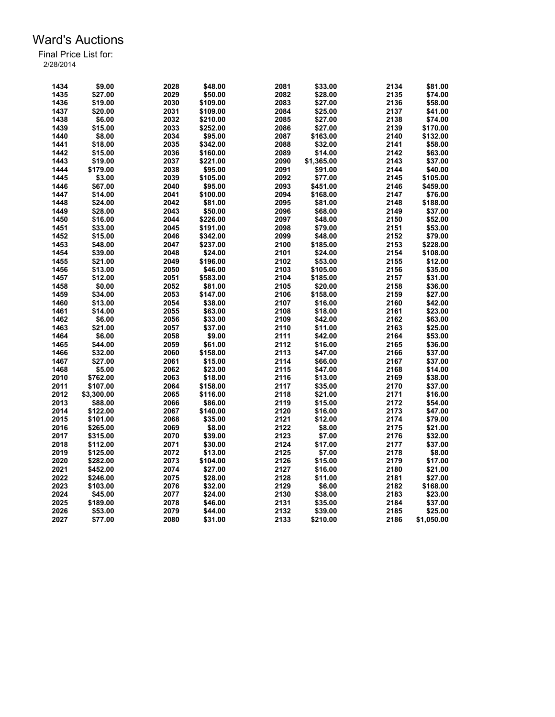| 1434         | \$9.00     | 2028 | \$48.00  | 2081 | \$33.00    | 2134         | \$81.00    |
|--------------|------------|------|----------|------|------------|--------------|------------|
| 1435         | \$27.00    | 2029 | \$50.00  | 2082 | \$28.00    | 2135         | \$74.00    |
| 1436         | \$19.00    | 2030 | \$109.00 | 2083 | \$27.00    | 2136         | \$58.00    |
| 1437         | \$20.00    | 2031 | \$109.00 | 2084 | \$25.00    | 2137         | \$41.00    |
| 1438         | \$6.00     | 2032 | \$210.00 | 2085 | \$27.00    | 2138         | \$74.00    |
| 1439         | \$15.00    | 2033 | \$252.00 | 2086 | \$27.00    | 2139         | \$170.00   |
| 1440         | \$8.00     | 2034 | \$95.00  | 2087 | \$163.00   | 2140         | \$132.00   |
| 1441         | \$18.00    | 2035 | \$342.00 | 2088 | \$32.00    | 2141         | \$58.00    |
| 1442         | \$15.00    | 2036 | \$160.00 | 2089 | \$14.00    | 2142         | \$63.00    |
| 1443         | \$19.00    | 2037 | \$221.00 | 2090 | \$1,365.00 | 2143         | \$37.00    |
| 1444         | \$179.00   | 2038 | \$95.00  | 2091 | \$91.00    | 2144         | \$40.00    |
| 1445         | \$3.00     | 2039 | \$105.00 | 2092 | \$77.00    | 2145         | \$105.00   |
| 1446         | \$67.00    | 2040 | \$95.00  | 2093 | \$451.00   | 2146         | \$459.00   |
| 1447         | \$14.00    | 2041 | \$100.00 | 2094 | \$168.00   | 2147         | \$76.00    |
| 1448         | \$24.00    | 2042 | \$81.00  | 2095 | \$81.00    | 2148         | \$188.00   |
| 1449         | \$28.00    | 2043 | \$50.00  | 2096 | \$68.00    | 2149         | \$37.00    |
| 1450         | \$16.00    | 2044 | \$226.00 | 2097 | \$48.00    | 2150         | \$52.00    |
| 1451         | \$33.00    | 2045 | \$191.00 | 2098 | \$79.00    | 2151         | \$53.00    |
|              | \$15.00    | 2046 |          | 2099 |            |              |            |
| 1452<br>1453 |            |      | \$342.00 | 2100 | \$48.00    | 2152<br>2153 | \$79.00    |
|              | \$48.00    | 2047 | \$237.00 |      | \$185.00   |              | \$228.00   |
| 1454         | \$39.00    | 2048 | \$24.00  | 2101 | \$24.00    | 2154         | \$108.00   |
| 1455         | \$21.00    | 2049 | \$196.00 | 2102 | \$53.00    | 2155         | \$12.00    |
| 1456         | \$13.00    | 2050 | \$46.00  | 2103 | \$105.00   | 2156         | \$35.00    |
| 1457         | \$12.00    | 2051 | \$583.00 | 2104 | \$185.00   | 2157         | \$31.00    |
| 1458         | \$0.00     | 2052 | \$81.00  | 2105 | \$20.00    | 2158         | \$36.00    |
| 1459         | \$34.00    | 2053 | \$147.00 | 2106 | \$158.00   | 2159         | \$27.00    |
| 1460         | \$13.00    | 2054 | \$38.00  | 2107 | \$16.00    | 2160         | \$42.00    |
| 1461         | \$14.00    | 2055 | \$63.00  | 2108 | \$18.00    | 2161         | \$23.00    |
| 1462         | \$6.00     | 2056 | \$33.00  | 2109 | \$42.00    | 2162         | \$63.00    |
| 1463         | \$21.00    | 2057 | \$37.00  | 2110 | \$11.00    | 2163         | \$25.00    |
| 1464         | \$6.00     | 2058 | \$9.00   | 2111 | \$42.00    | 2164         | \$53.00    |
| 1465         | \$44.00    | 2059 | \$61.00  | 2112 | \$16.00    | 2165         | \$36.00    |
| 1466         | \$32.00    | 2060 | \$158.00 | 2113 | \$47.00    | 2166         | \$37.00    |
| 1467         | \$27.00    | 2061 | \$15.00  | 2114 | \$66.00    | 2167         | \$37.00    |
| 1468         | \$5.00     | 2062 | \$23.00  | 2115 | \$47.00    | 2168         | \$14.00    |
| 2010         | \$762.00   | 2063 | \$18.00  | 2116 | \$13.00    | 2169         | \$38.00    |
| 2011         | \$107.00   | 2064 | \$158.00 | 2117 | \$35.00    | 2170         | \$37.00    |
| 2012         | \$3,300.00 | 2065 | \$116.00 | 2118 | \$21.00    | 2171         | \$16.00    |
| 2013         | \$88.00    | 2066 | \$86.00  | 2119 | \$15.00    | 2172         | \$54.00    |
| 2014         | \$122.00   | 2067 | \$140.00 | 2120 | \$16.00    | 2173         | \$47.00    |
| 2015         | \$101.00   | 2068 | \$35.00  | 2121 | \$12.00    | 2174         | \$79.00    |
| 2016         | \$265.00   | 2069 | \$8.00   | 2122 | \$8.00     | 2175         | \$21.00    |
| 2017         | \$315.00   | 2070 | \$39.00  | 2123 | \$7.00     | 2176         | \$32.00    |
| 2018         | \$112.00   | 2071 | \$30.00  | 2124 | \$17.00    | 2177         | \$37.00    |
| 2019         | \$125.00   | 2072 | \$13.00  | 2125 | \$7.00     | 2178         | \$8.00     |
| 2020         | \$282.00   | 2073 | \$104.00 | 2126 | \$15.00    | 2179         | \$17.00    |
| 2021         | \$452.00   | 2074 | \$27.00  | 2127 | \$16.00    | 2180         | \$21.00    |
| 2022         | \$246.00   | 2075 | \$28.00  | 2128 | \$11.00    | 2181         | \$27.00    |
| 2023         | \$103.00   | 2076 | \$32.00  | 2129 | \$6.00     | 2182         | \$168.00   |
| 2024         |            |      |          | 2130 |            | 2183         |            |
|              | \$45.00    | 2077 | \$24.00  |      | \$38.00    |              | \$23.00    |
| 2025         | \$189.00   | 2078 | \$46.00  | 2131 | \$35.00    | 2184         | \$37.00    |
| 2026         | \$53.00    | 2079 | \$44.00  | 2132 | \$39.00    | 2185         | \$25.00    |
| 2027         | \$77.00    | 2080 | \$31.00  | 2133 | \$210.00   | 2186         | \$1,050.00 |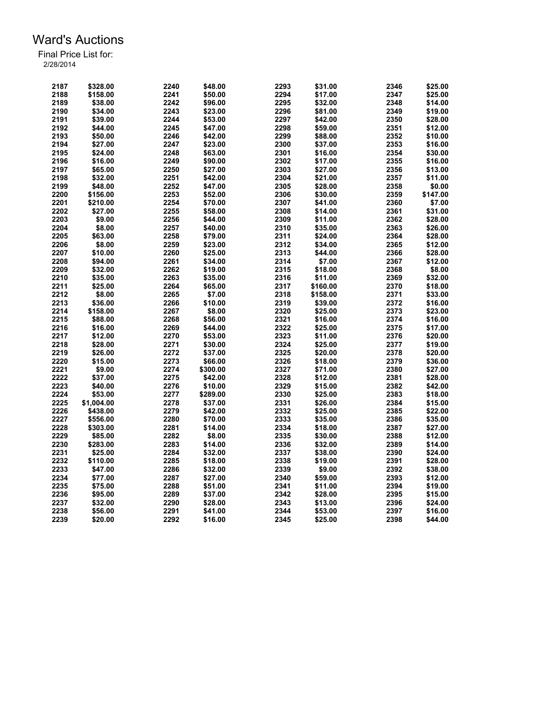| 2187 | \$328.00   | 2240 | \$48.00  | 2293 | \$31.00  | 2346 | \$25.00  |
|------|------------|------|----------|------|----------|------|----------|
| 2188 | \$158.00   | 2241 | \$50.00  | 2294 | \$17.00  | 2347 | \$25.00  |
| 2189 | \$38.00    | 2242 | \$96.00  | 2295 | \$32.00  | 2348 | \$14.00  |
| 2190 | \$34.00    | 2243 | \$23.00  | 2296 | \$81.00  | 2349 | \$19.00  |
| 2191 | \$39.00    | 2244 | \$53.00  | 2297 | \$42.00  | 2350 | \$28.00  |
| 2192 | \$44.00    | 2245 | \$47.00  | 2298 | \$59.00  | 2351 | \$12.00  |
| 2193 | \$50.00    | 2246 | \$42.00  | 2299 | \$88.00  | 2352 | \$10.00  |
| 2194 | \$27.00    | 2247 | \$23.00  | 2300 | \$37.00  | 2353 | \$16.00  |
| 2195 | \$24.00    | 2248 | \$63.00  | 2301 | \$16.00  | 2354 | \$30.00  |
| 2196 | \$16.00    | 2249 | \$90.00  | 2302 | \$17.00  | 2355 | \$16.00  |
| 2197 | \$65.00    | 2250 | \$27.00  | 2303 | \$27.00  | 2356 | \$13.00  |
| 2198 | \$32.00    | 2251 | \$42.00  | 2304 | \$21.00  | 2357 | \$11.00  |
| 2199 | \$48.00    | 2252 | \$47.00  | 2305 | \$28.00  | 2358 | \$0.00   |
| 2200 | \$156.00   | 2253 | \$52.00  | 2306 | \$30.00  | 2359 | \$147.00 |
| 2201 | \$210.00   | 2254 | \$70.00  | 2307 | \$41.00  | 2360 | \$7.00   |
| 2202 | \$27.00    | 2255 | \$58.00  | 2308 | \$14.00  | 2361 | \$31.00  |
| 2203 | \$9.00     | 2256 | \$44.00  | 2309 | \$11.00  | 2362 | \$28.00  |
| 2204 | \$8.00     | 2257 | \$40.00  | 2310 | \$35.00  | 2363 | \$26.00  |
|      |            |      |          |      |          |      |          |
| 2205 | \$63.00    | 2258 | \$79.00  | 2311 | \$24.00  | 2364 | \$28.00  |
| 2206 | \$8.00     | 2259 | \$23.00  | 2312 | \$34.00  | 2365 | \$12.00  |
| 2207 | \$10.00    | 2260 | \$25.00  | 2313 | \$44.00  | 2366 | \$28.00  |
| 2208 | \$94.00    | 2261 | \$34.00  | 2314 | \$7.00   | 2367 | \$12.00  |
| 2209 | \$32.00    | 2262 | \$19.00  | 2315 | \$18.00  | 2368 | \$8.00   |
| 2210 | \$35.00    | 2263 | \$35.00  | 2316 | \$11.00  | 2369 | \$32.00  |
| 2211 | \$25.00    | 2264 | \$65.00  | 2317 | \$160.00 | 2370 | \$18.00  |
| 2212 | \$8.00     | 2265 | \$7.00   | 2318 | \$158.00 | 2371 | \$33.00  |
| 2213 | \$36.00    | 2266 | \$10.00  | 2319 | \$39.00  | 2372 | \$16.00  |
| 2214 | \$158.00   | 2267 | \$8.00   | 2320 | \$25.00  | 2373 | \$23.00  |
| 2215 | \$88.00    | 2268 | \$56.00  | 2321 | \$16.00  | 2374 | \$16.00  |
| 2216 | \$16.00    | 2269 | \$44.00  | 2322 | \$25.00  | 2375 | \$17.00  |
| 2217 | \$12.00    | 2270 | \$53.00  | 2323 | \$11.00  | 2376 | \$20.00  |
| 2218 | \$28.00    | 2271 | \$30.00  | 2324 | \$25.00  | 2377 | \$19.00  |
| 2219 | \$26.00    | 2272 | \$37.00  | 2325 | \$20.00  | 2378 | \$20.00  |
| 2220 | \$15.00    | 2273 | \$66.00  | 2326 | \$18.00  | 2379 | \$36.00  |
| 2221 | \$9.00     | 2274 | \$300.00 | 2327 | \$71.00  | 2380 | \$27.00  |
| 2222 | \$37.00    | 2275 | \$42.00  | 2328 | \$12.00  | 2381 | \$28.00  |
| 2223 | \$40.00    | 2276 | \$10.00  | 2329 | \$15.00  | 2382 | \$42.00  |
| 2224 | \$53.00    | 2277 | \$289.00 | 2330 | \$25.00  | 2383 | \$18.00  |
| 2225 | \$1,004.00 | 2278 | \$37.00  | 2331 | \$26.00  | 2384 | \$15.00  |
| 2226 | \$438.00   | 2279 | \$42.00  | 2332 | \$25.00  | 2385 | \$22.00  |
| 2227 | \$556.00   | 2280 | \$70.00  | 2333 | \$35.00  | 2386 | \$35.00  |
| 2228 | \$303.00   | 2281 | \$14.00  | 2334 | \$18.00  | 2387 | \$27.00  |
| 2229 | \$85.00    | 2282 | \$8.00   | 2335 | \$30.00  | 2388 | \$12.00  |
| 2230 | \$283.00   | 2283 | \$14.00  | 2336 | \$32.00  | 2389 | \$14.00  |
| 2231 | \$25.00    | 2284 | \$32.00  | 2337 | \$38.00  | 2390 | \$24.00  |
| 2232 | \$110.00   | 2285 | \$18.00  | 2338 | \$19.00  | 2391 | \$28.00  |
| 2233 | \$47.00    | 2286 | \$32.00  | 2339 | \$9.00   | 2392 | \$38.00  |
| 2234 | \$77.00    | 2287 | \$27.00  | 2340 | \$59.00  | 2393 | \$12.00  |
| 2235 | \$75.00    | 2288 | \$51.00  | 2341 | \$11.00  | 2394 | \$19.00  |
| 2236 | \$95.00    | 2289 | \$37.00  | 2342 | \$28.00  | 2395 | \$15.00  |
| 2237 | \$32.00    | 2290 | \$28.00  | 2343 | \$13.00  | 2396 | \$24.00  |
| 2238 | \$56.00    | 2291 | \$41.00  | 2344 | \$53.00  | 2397 | \$16.00  |
| 2239 | \$20.00    | 2292 | \$16.00  | 2345 | \$25.00  | 2398 | \$44.00  |
|      |            |      |          |      |          |      |          |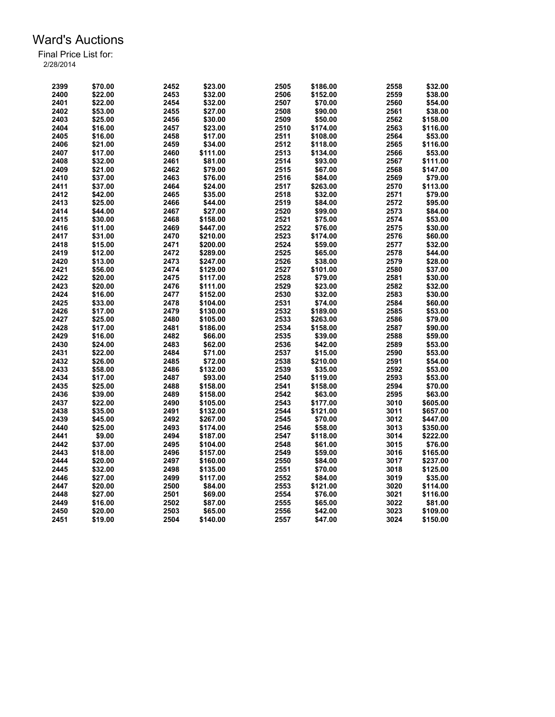| 2399 | \$70.00 | 2452 | \$23.00  | 2505 | \$186.00 | 2558 | \$32.00  |
|------|---------|------|----------|------|----------|------|----------|
| 2400 | \$22.00 | 2453 | \$32.00  | 2506 | \$152.00 | 2559 | \$38.00  |
| 2401 | \$22.00 | 2454 | \$32.00  | 2507 | \$70.00  | 2560 | \$54.00  |
| 2402 | \$53.00 | 2455 | \$27.00  | 2508 | \$90.00  | 2561 | \$38.00  |
| 2403 | \$25.00 | 2456 | \$30.00  | 2509 | \$50.00  | 2562 | \$158.00 |
| 2404 | \$16.00 | 2457 | \$23.00  | 2510 | \$174.00 | 2563 | \$116.00 |
| 2405 | \$16.00 | 2458 | \$17.00  | 2511 | \$108.00 | 2564 | \$53.00  |
| 2406 | \$21.00 | 2459 | \$34.00  | 2512 | \$118.00 | 2565 | \$116.00 |
| 2407 | \$17.00 | 2460 | \$111.00 | 2513 | \$134.00 | 2566 | \$53.00  |
| 2408 | \$32.00 | 2461 | \$81.00  | 2514 | \$93.00  | 2567 | \$111.00 |
| 2409 | \$21.00 | 2462 | \$79.00  | 2515 | \$67.00  | 2568 | \$147.00 |
| 2410 | \$37.00 | 2463 | \$76.00  | 2516 | \$84.00  | 2569 | \$79.00  |
| 2411 | \$37.00 | 2464 | \$24.00  | 2517 |          | 2570 | \$113.00 |
|      |         |      |          |      | \$263.00 |      |          |
| 2412 | \$42.00 | 2465 | \$35.00  | 2518 | \$32.00  | 2571 | \$79.00  |
| 2413 | \$25.00 | 2466 | \$44.00  | 2519 | \$84.00  | 2572 | \$95.00  |
| 2414 | \$44.00 | 2467 | \$27.00  | 2520 | \$99.00  | 2573 | \$84.00  |
| 2415 | \$30.00 | 2468 | \$158.00 | 2521 | \$75.00  | 2574 | \$53.00  |
| 2416 | \$11.00 | 2469 | \$447.00 | 2522 | \$76.00  | 2575 | \$30.00  |
| 2417 | \$31.00 | 2470 | \$210.00 | 2523 | \$174.00 | 2576 | \$60.00  |
| 2418 | \$15.00 | 2471 | \$200.00 | 2524 | \$59.00  | 2577 | \$32.00  |
| 2419 | \$12.00 | 2472 | \$289.00 | 2525 | \$65.00  | 2578 | \$44.00  |
| 2420 | \$13.00 | 2473 | \$247.00 | 2526 | \$38.00  | 2579 | \$28.00  |
| 2421 | \$56.00 | 2474 | \$129.00 | 2527 | \$101.00 | 2580 | \$37.00  |
| 2422 | \$20.00 | 2475 | \$117.00 | 2528 | \$79.00  | 2581 | \$30.00  |
| 2423 | \$20.00 | 2476 | \$111.00 | 2529 | \$23.00  | 2582 | \$32.00  |
| 2424 | \$16.00 | 2477 | \$152.00 | 2530 | \$32.00  | 2583 | \$30.00  |
| 2425 | \$33.00 | 2478 | \$104.00 | 2531 | \$74.00  | 2584 | \$60.00  |
| 2426 | \$17.00 | 2479 | \$130.00 | 2532 | \$189.00 | 2585 | \$53.00  |
| 2427 | \$25.00 | 2480 | \$105.00 | 2533 | \$263.00 | 2586 | \$79.00  |
| 2428 | \$17.00 | 2481 | \$186.00 | 2534 | \$158.00 | 2587 | \$90.00  |
| 2429 | \$16.00 | 2482 | \$66.00  | 2535 | \$39.00  | 2588 | \$59.00  |
| 2430 | \$24.00 | 2483 | \$62.00  | 2536 | \$42.00  | 2589 | \$53.00  |
| 2431 | \$22.00 | 2484 | \$71.00  | 2537 | \$15.00  | 2590 | \$53.00  |
|      |         |      |          |      |          |      |          |
| 2432 | \$26.00 | 2485 | \$72.00  | 2538 | \$210.00 | 2591 | \$54.00  |
| 2433 | \$58.00 | 2486 | \$132.00 | 2539 | \$35.00  | 2592 | \$53.00  |
| 2434 | \$17.00 | 2487 | \$93.00  | 2540 | \$119.00 | 2593 | \$53.00  |
| 2435 | \$25.00 | 2488 | \$158.00 | 2541 | \$158.00 | 2594 | \$70.00  |
| 2436 | \$39.00 | 2489 | \$158.00 | 2542 | \$63.00  | 2595 | \$63.00  |
| 2437 | \$22.00 | 2490 | \$105.00 | 2543 | \$177.00 | 3010 | \$605.00 |
| 2438 | \$35.00 | 2491 | \$132.00 | 2544 | \$121.00 | 3011 | \$657.00 |
| 2439 | \$45.00 | 2492 | \$267.00 | 2545 | \$70.00  | 3012 | \$447.00 |
| 2440 | \$25.00 | 2493 | \$174.00 | 2546 | \$58.00  | 3013 | \$350.00 |
| 2441 | \$9.00  | 2494 | \$187.00 | 2547 | \$118.00 | 3014 | \$222.00 |
| 2442 | \$37.00 | 2495 | \$104.00 | 2548 | \$61.00  | 3015 | \$76.00  |
| 2443 | \$18.00 | 2496 | \$157.00 | 2549 | \$59.00  | 3016 | \$165.00 |
| 2444 | \$20.00 | 2497 | \$160.00 | 2550 | \$84.00  | 3017 | \$237.00 |
| 2445 | \$32.00 | 2498 | \$135.00 | 2551 | \$70.00  | 3018 | \$125.00 |
| 2446 | \$27.00 | 2499 | \$117.00 | 2552 | \$84.00  | 3019 | \$35.00  |
| 2447 | \$20.00 | 2500 | \$84.00  | 2553 | \$121.00 | 3020 | \$114.00 |
| 2448 | \$27.00 | 2501 | \$69.00  | 2554 | \$76.00  | 3021 | \$116.00 |
| 2449 | \$16.00 | 2502 | \$87.00  | 2555 | \$65.00  | 3022 | \$81.00  |
| 2450 | \$20.00 | 2503 | \$65.00  | 2556 | \$42.00  | 3023 | \$109.00 |
| 2451 | \$19.00 | 2504 | \$140.00 | 2557 | \$47.00  | 3024 | \$150.00 |
|      |         |      |          |      |          |      |          |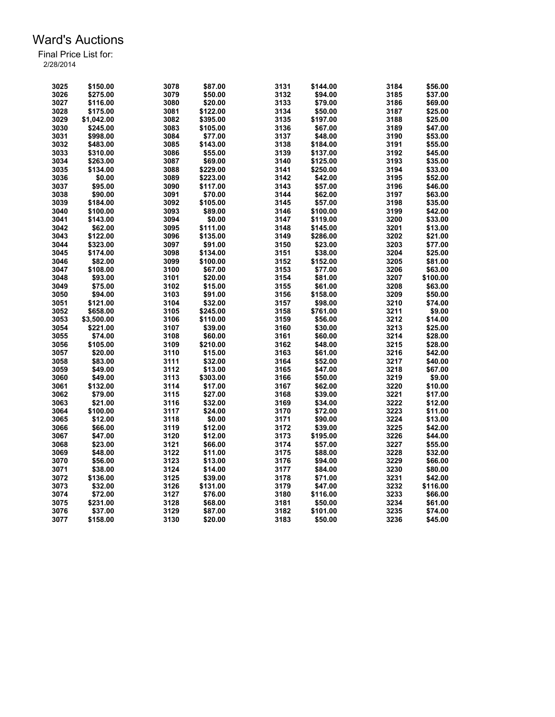| 3025 | \$150.00   | 3078 | \$87.00  | 3131 | \$144.00 | 3184 | \$56.00  |
|------|------------|------|----------|------|----------|------|----------|
| 3026 | \$275.00   | 3079 | \$50.00  | 3132 | \$94.00  | 3185 | \$37.00  |
| 3027 | \$116.00   | 3080 | \$20.00  | 3133 | \$79.00  | 3186 | \$69.00  |
| 3028 | \$175.00   | 3081 | \$122.00 | 3134 | \$50.00  | 3187 | \$25.00  |
| 3029 | \$1,042.00 | 3082 | \$395.00 | 3135 | \$197.00 | 3188 | \$25.00  |
| 3030 | \$245.00   | 3083 | \$105.00 | 3136 | \$67.00  | 3189 | \$47.00  |
| 3031 | \$998.00   | 3084 | \$77.00  | 3137 | \$48.00  | 3190 | \$53.00  |
| 3032 | \$483.00   | 3085 | \$143.00 | 3138 | \$184.00 | 3191 | \$55.00  |
| 3033 | \$310.00   | 3086 | \$55.00  | 3139 | \$137.00 | 3192 | \$45.00  |
| 3034 | \$263.00   | 3087 | \$69.00  | 3140 | \$125.00 | 3193 | \$35.00  |
| 3035 | \$134.00   | 3088 | \$229.00 | 3141 | \$250.00 | 3194 | \$33.00  |
| 3036 | \$0.00     | 3089 | \$223.00 | 3142 | \$42.00  | 3195 | \$52.00  |
| 3037 | \$95.00    | 3090 |          | 3143 |          | 3196 | \$46.00  |
|      |            |      | \$117.00 |      | \$57.00  |      |          |
| 3038 | \$90.00    | 3091 | \$70.00  | 3144 | \$62.00  | 3197 | \$63.00  |
| 3039 | \$184.00   | 3092 | \$105.00 | 3145 | \$57.00  | 3198 | \$35.00  |
| 3040 | \$100.00   | 3093 | \$89.00  | 3146 | \$100.00 | 3199 | \$42.00  |
| 3041 | \$143.00   | 3094 | \$0.00   | 3147 | \$119.00 | 3200 | \$33.00  |
| 3042 | \$62.00    | 3095 | \$111.00 | 3148 | \$145.00 | 3201 | \$13.00  |
| 3043 | \$122.00   | 3096 | \$135.00 | 3149 | \$286.00 | 3202 | \$21.00  |
| 3044 | \$323.00   | 3097 | \$91.00  | 3150 | \$23.00  | 3203 | \$77.00  |
| 3045 | \$174.00   | 3098 | \$134.00 | 3151 | \$38.00  | 3204 | \$25.00  |
| 3046 | \$82.00    | 3099 | \$100.00 | 3152 | \$152.00 | 3205 | \$81.00  |
| 3047 | \$108.00   | 3100 | \$67.00  | 3153 | \$77.00  | 3206 | \$63.00  |
| 3048 | \$93.00    | 3101 | \$20.00  | 3154 | \$81.00  | 3207 | \$100.00 |
| 3049 | \$75.00    | 3102 | \$15.00  | 3155 | \$61.00  | 3208 | \$63.00  |
| 3050 | \$94.00    | 3103 | \$91.00  | 3156 | \$158.00 | 3209 | \$50.00  |
| 3051 | \$121.00   | 3104 | \$32.00  | 3157 | \$98.00  | 3210 | \$74.00  |
| 3052 | \$658.00   | 3105 | \$245.00 | 3158 | \$761.00 | 3211 | \$9.00   |
| 3053 | \$3,500.00 | 3106 | \$110.00 | 3159 | \$56.00  | 3212 | \$14.00  |
| 3054 | \$221.00   | 3107 | \$39.00  | 3160 | \$30.00  | 3213 | \$25.00  |
| 3055 | \$74.00    | 3108 | \$60.00  | 3161 | \$60.00  | 3214 | \$28.00  |
| 3056 | \$105.00   | 3109 | \$210.00 | 3162 | \$48.00  | 3215 | \$28.00  |
| 3057 | \$20.00    | 3110 | \$15.00  | 3163 | \$61.00  | 3216 | \$42.00  |
| 3058 | \$83.00    | 3111 | \$32.00  | 3164 | \$52.00  | 3217 | \$40.00  |
| 3059 | \$49.00    | 3112 | \$13.00  | 3165 | \$47.00  | 3218 | \$67.00  |
| 3060 | \$49.00    | 3113 | \$303.00 | 3166 | \$50.00  | 3219 | \$9.00   |
| 3061 | \$132.00   | 3114 | \$17.00  | 3167 | \$62.00  | 3220 | \$10.00  |
| 3062 | \$79.00    | 3115 | \$27.00  | 3168 | \$39.00  | 3221 | \$17.00  |
| 3063 | \$21.00    | 3116 | \$32.00  | 3169 | \$34.00  | 3222 | \$12.00  |
| 3064 | \$100.00   | 3117 | \$24.00  | 3170 | \$72.00  | 3223 | \$11.00  |
|      |            | 3118 |          | 3171 |          | 3224 |          |
| 3065 | \$12.00    |      | \$0.00   |      | \$90.00  |      | \$13.00  |
| 3066 | \$66.00    | 3119 | \$12.00  | 3172 | \$39.00  | 3225 | \$42.00  |
| 3067 | \$47.00    | 3120 | \$12.00  | 3173 | \$195.00 | 3226 | \$44.00  |
| 3068 | \$23.00    | 3121 | \$66.00  | 3174 | \$57.00  | 3227 | \$55.00  |
| 3069 | \$48.00    | 3122 | \$11.00  | 3175 | \$88.00  | 3228 | \$32.00  |
| 3070 | \$56.00    | 3123 | \$13.00  | 3176 | \$94.00  | 3229 | \$66.00  |
| 3071 | \$38.00    | 3124 | \$14.00  | 3177 | \$84.00  | 3230 | \$80.00  |
| 3072 | \$136.00   | 3125 | \$39.00  | 3178 | \$71.00  | 3231 | \$42.00  |
| 3073 | \$32.00    | 3126 | \$131.00 | 3179 | \$47.00  | 3232 | \$116.00 |
| 3074 | \$72.00    | 3127 | \$76.00  | 3180 | \$116.00 | 3233 | \$66.00  |
| 3075 | \$231.00   | 3128 | \$68.00  | 3181 | \$50.00  | 3234 | \$61.00  |
| 3076 | \$37.00    | 3129 | \$87.00  | 3182 | \$101.00 | 3235 | \$74.00  |
| 3077 | \$158.00   | 3130 | \$20.00  | 3183 | \$50.00  | 3236 | \$45.00  |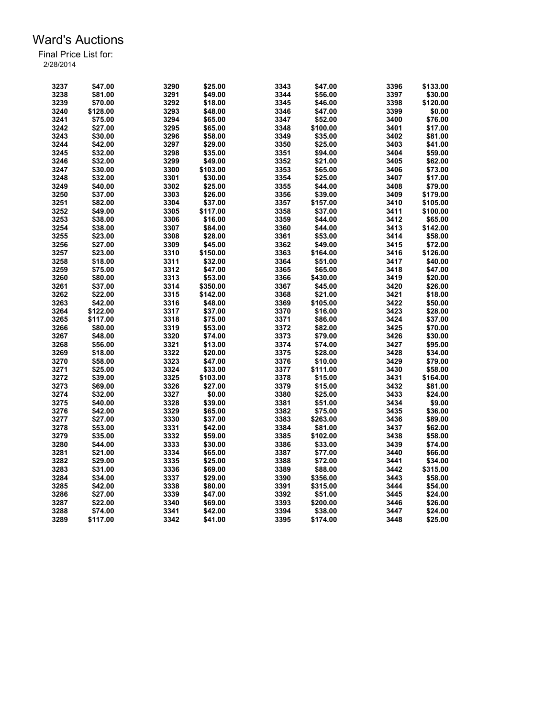| 3237 | \$47.00  | 3290 | \$25.00  | 3343 | \$47.00  | 3396 | \$133.00 |
|------|----------|------|----------|------|----------|------|----------|
| 3238 | \$81.00  | 3291 | \$49.00  | 3344 | \$56.00  | 3397 | \$30.00  |
| 3239 | \$70.00  | 3292 | \$18.00  | 3345 | \$46.00  | 3398 | \$120.00 |
| 3240 | \$128.00 | 3293 | \$48.00  | 3346 | \$47.00  | 3399 | \$0.00   |
| 3241 | \$75.00  | 3294 | \$65.00  | 3347 | \$52.00  | 3400 | \$76.00  |
| 3242 | \$27.00  | 3295 | \$65.00  | 3348 | \$100.00 | 3401 | \$17.00  |
| 3243 | \$30.00  | 3296 | \$58.00  | 3349 | \$35.00  | 3402 | \$81.00  |
| 3244 | \$42.00  | 3297 | \$29.00  | 3350 | \$25.00  | 3403 | \$41.00  |
| 3245 | \$32.00  | 3298 | \$35.00  | 3351 | \$94.00  | 3404 | \$59.00  |
| 3246 | \$32.00  | 3299 | \$49.00  | 3352 | \$21.00  | 3405 | \$62.00  |
| 3247 | \$30.00  | 3300 | \$103.00 | 3353 | \$65.00  | 3406 | \$73.00  |
| 3248 | \$32.00  | 3301 | \$30.00  | 3354 | \$25.00  | 3407 | \$17.00  |
| 3249 | \$40.00  | 3302 | \$25.00  | 3355 | \$44.00  | 3408 | \$79.00  |
| 3250 | \$37.00  | 3303 | \$26.00  | 3356 | \$39.00  | 3409 | \$179.00 |
| 3251 | \$82.00  | 3304 | \$37.00  | 3357 | \$157.00 | 3410 | \$105.00 |
| 3252 | \$49.00  | 3305 | \$117.00 | 3358 | \$37.00  | 3411 | \$100.00 |
| 3253 | \$38.00  | 3306 | \$16.00  | 3359 | \$44.00  | 3412 | \$65.00  |
| 3254 | \$38.00  | 3307 | \$84.00  | 3360 | \$44.00  | 3413 | \$142.00 |
|      |          | 3308 |          |      |          | 3414 |          |
| 3255 | \$23.00  |      | \$28.00  | 3361 | \$53.00  |      | \$58.00  |
| 3256 | \$27.00  | 3309 | \$45.00  | 3362 | \$49.00  | 3415 | \$72.00  |
| 3257 | \$23.00  | 3310 | \$150.00 | 3363 | \$164.00 | 3416 | \$126.00 |
| 3258 | \$18.00  | 3311 | \$32.00  | 3364 | \$51.00  | 3417 | \$40.00  |
| 3259 | \$75.00  | 3312 | \$47.00  | 3365 | \$65.00  | 3418 | \$47.00  |
| 3260 | \$80.00  | 3313 | \$53.00  | 3366 | \$430.00 | 3419 | \$20.00  |
| 3261 | \$37.00  | 3314 | \$350.00 | 3367 | \$45.00  | 3420 | \$26.00  |
| 3262 | \$22.00  | 3315 | \$142.00 | 3368 | \$21.00  | 3421 | \$18.00  |
| 3263 | \$42.00  | 3316 | \$48.00  | 3369 | \$105.00 | 3422 | \$50.00  |
| 3264 | \$122.00 | 3317 | \$37.00  | 3370 | \$16.00  | 3423 | \$28.00  |
| 3265 | \$117.00 | 3318 | \$75.00  | 3371 | \$86.00  | 3424 | \$37.00  |
| 3266 | \$80.00  | 3319 | \$53.00  | 3372 | \$82.00  | 3425 | \$70.00  |
| 3267 | \$48.00  | 3320 | \$74.00  | 3373 | \$79.00  | 3426 | \$30.00  |
| 3268 | \$56.00  | 3321 | \$13.00  | 3374 | \$74.00  | 3427 | \$95.00  |
| 3269 | \$18.00  | 3322 | \$20.00  | 3375 | \$28.00  | 3428 | \$34.00  |
| 3270 | \$58.00  | 3323 | \$47.00  | 3376 | \$10.00  | 3429 | \$79.00  |
| 3271 | \$25.00  | 3324 | \$33.00  | 3377 | \$111.00 | 3430 | \$58.00  |
| 3272 | \$39.00  | 3325 | \$103.00 | 3378 | \$15.00  | 3431 | \$164.00 |
| 3273 | \$69.00  | 3326 | \$27.00  | 3379 | \$15.00  | 3432 | \$81.00  |
| 3274 | \$32.00  | 3327 | \$0.00   | 3380 | \$25.00  | 3433 | \$24.00  |
| 3275 | \$40.00  | 3328 | \$39.00  | 3381 | \$51.00  | 3434 | \$9.00   |
| 3276 | \$42.00  | 3329 | \$65.00  | 3382 | \$75.00  | 3435 | \$36.00  |
| 3277 | \$27.00  | 3330 | \$37.00  | 3383 | \$263.00 | 3436 | \$89.00  |
| 3278 | \$53.00  | 3331 | \$42.00  | 3384 | \$81.00  | 3437 | \$62.00  |
| 3279 | \$35.00  | 3332 | \$59.00  | 3385 | \$102.00 | 3438 | \$58.00  |
| 3280 | \$44.00  | 3333 | \$30.00  | 3386 | \$33.00  | 3439 | \$74.00  |
| 3281 |          |      |          | 3387 |          |      |          |
|      | \$21.00  | 3334 | \$65.00  |      | \$77.00  | 3440 | \$66.00  |
| 3282 | \$29.00  | 3335 | \$25.00  | 3388 | \$72.00  | 3441 | \$34.00  |
| 3283 | \$31.00  | 3336 | \$69.00  | 3389 | \$88.00  | 3442 | \$315.00 |
| 3284 | \$34.00  | 3337 | \$29.00  | 3390 | \$356.00 | 3443 | \$58.00  |
| 3285 | \$42.00  | 3338 | \$80.00  | 3391 | \$315.00 | 3444 | \$54.00  |
| 3286 | \$27.00  | 3339 | \$47.00  | 3392 | \$51.00  | 3445 | \$24.00  |
| 3287 | \$22.00  | 3340 | \$69.00  | 3393 | \$200.00 | 3446 | \$26.00  |
| 3288 | \$74.00  | 3341 | \$42.00  | 3394 | \$38.00  | 3447 | \$24.00  |
| 3289 | \$117.00 | 3342 | \$41.00  | 3395 | \$174.00 | 3448 | \$25.00  |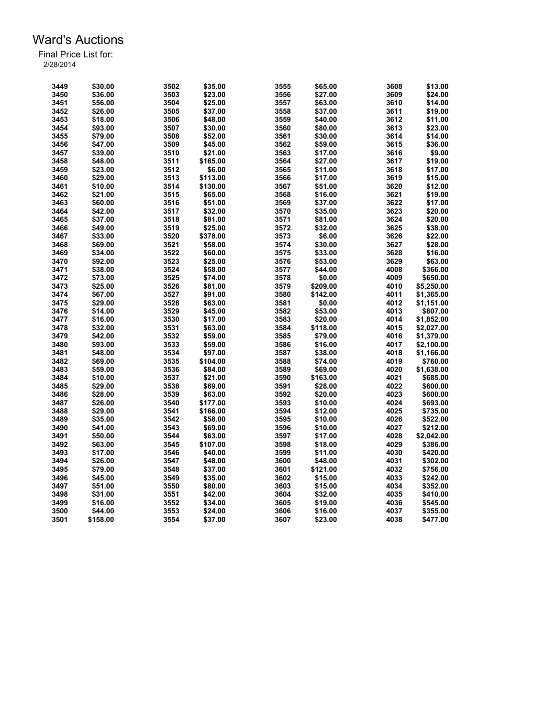| 3449 | \$30.00  | 3502 | \$35.00  | 3555 | \$65.00  | 3608 | \$13.00    |
|------|----------|------|----------|------|----------|------|------------|
| 3450 | \$36.00  | 3503 | \$23.00  | 3556 | \$27.00  | 3609 | \$24.00    |
| 3451 | \$56.00  | 3504 | \$25.00  | 3557 | \$63.00  | 3610 | \$14.00    |
| 3452 | \$26.00  | 3505 | \$37.00  | 3558 | \$37.00  | 3611 | \$19.00    |
| 3453 | \$18.00  | 3506 | \$48.00  | 3559 | \$40.00  | 3612 | \$11.00    |
| 3454 | \$93.00  | 3507 | \$30.00  | 3560 | \$80.00  | 3613 | \$23.00    |
| 3455 | \$79.00  | 3508 | \$52.00  | 3561 | \$30.00  | 3614 | \$14.00    |
| 3456 | \$47.00  | 3509 | \$45.00  | 3562 | \$59.00  | 3615 | \$36.00    |
| 3457 | \$39.00  | 3510 | \$21.00  | 3563 | \$17.00  | 3616 | \$9.00     |
| 3458 | \$48.00  | 3511 | \$165.00 | 3564 | \$27.00  | 3617 | \$19.00    |
| 3459 | \$23.00  | 3512 | \$6.00   | 3565 | \$11.00  | 3618 | \$17.00    |
| 3460 | \$29.00  | 3513 | \$113.00 | 3566 | \$17.00  | 3619 | \$15.00    |
| 3461 | \$10.00  | 3514 | \$130.00 | 3567 | \$51.00  | 3620 | \$12.00    |
| 3462 | \$21.00  | 3515 | \$65.00  | 3568 | \$16.00  | 3621 | \$19.00    |
| 3463 | \$60.00  | 3516 | \$51.00  | 3569 | \$37.00  | 3622 | \$17.00    |
| 3464 | \$42.00  | 3517 | \$32.00  | 3570 | \$35.00  | 3623 | \$20.00    |
| 3465 | \$37.00  | 3518 | \$81.00  | 3571 | \$81.00  | 3624 | \$20.00    |
| 3466 | \$49.00  | 3519 | \$25.00  | 3572 | \$32.00  | 3625 | \$38.00    |
| 3467 | \$33.00  | 3520 | \$378.00 | 3573 | \$6.00   | 3626 | \$22.00    |
| 3468 | \$69.00  |      |          |      |          | 3627 | \$28.00    |
|      |          | 3521 | \$58.00  | 3574 | \$30.00  |      |            |
| 3469 | \$34.00  | 3522 | \$60.00  | 3575 | \$33.00  | 3628 | \$16.00    |
| 3470 | \$92.00  | 3523 | \$25.00  | 3576 | \$53.00  | 3629 | \$63.00    |
| 3471 | \$38.00  | 3524 | \$58.00  | 3577 | \$44.00  | 4008 | \$366.00   |
| 3472 | \$73.00  | 3525 | \$74.00  | 3578 | \$0.00   | 4009 | \$650.00   |
| 3473 | \$25.00  | 3526 | \$81.00  | 3579 | \$209.00 | 4010 | \$5,250.00 |
| 3474 | \$67.00  | 3527 | \$91.00  | 3580 | \$142.00 | 4011 | \$1,365.00 |
| 3475 | \$29.00  | 3528 | \$63.00  | 3581 | \$0.00   | 4012 | \$1,151.00 |
| 3476 | \$14.00  | 3529 | \$45.00  | 3582 | \$53.00  | 4013 | \$807.00   |
| 3477 | \$16.00  | 3530 | \$17.00  | 3583 | \$20.00  | 4014 | \$1,852.00 |
| 3478 | \$32.00  | 3531 | \$63.00  | 3584 | \$118.00 | 4015 | \$2,027.00 |
| 3479 | \$42.00  | 3532 | \$59.00  | 3585 | \$79.00  | 4016 | \$1,379.00 |
| 3480 | \$93.00  | 3533 | \$59.00  | 3586 | \$16.00  | 4017 | \$2,100.00 |
| 3481 | \$48.00  | 3534 | \$97.00  | 3587 | \$38.00  | 4018 | \$1,166.00 |
| 3482 | \$69.00  | 3535 | \$104.00 | 3588 | \$74.00  | 4019 | \$760.00   |
| 3483 | \$59.00  | 3536 | \$84.00  | 3589 | \$69.00  | 4020 | \$1,638.00 |
| 3484 | \$10.00  | 3537 | \$21.00  | 3590 | \$163.00 | 4021 | \$685.00   |
| 3485 | \$29.00  | 3538 | \$69.00  | 3591 | \$28.00  | 4022 | \$600.00   |
| 3486 | \$28.00  | 3539 | \$63.00  | 3592 | \$20.00  | 4023 | \$600.00   |
| 3487 | \$26.00  | 3540 | \$177.00 | 3593 | \$10.00  | 4024 | \$693.00   |
| 3488 | \$29.00  | 3541 | \$166.00 | 3594 | \$12.00  | 4025 | \$735.00   |
| 3489 | \$35.00  | 3542 | \$58.00  | 3595 | \$10.00  | 4026 | \$522.00   |
| 3490 | \$41.00  | 3543 | \$69.00  | 3596 | \$10.00  | 4027 | \$212.00   |
| 3491 | \$50.00  | 3544 | \$63.00  | 3597 | \$17.00  | 4028 | \$2,042.00 |
| 3492 | \$63.00  | 3545 | \$107.00 | 3598 | \$18.00  | 4029 | \$386.00   |
| 3493 | \$17.00  | 3546 | \$40.00  | 3599 | \$11.00  | 4030 | \$420.00   |
| 3494 | \$26.00  | 3547 | \$48.00  | 3600 | \$48.00  | 4031 | \$302.00   |
| 3495 | \$79.00  | 3548 | \$37.00  | 3601 | \$121.00 | 4032 | \$756.00   |
| 3496 | \$45.00  | 3549 | \$35.00  | 3602 | \$15.00  | 4033 | \$242.00   |
| 3497 | \$51.00  | 3550 | \$80.00  | 3603 | \$15.00  | 4034 | \$352.00   |
| 3498 | \$31.00  | 3551 | \$42.00  | 3604 | \$32.00  | 4035 | \$410.00   |
| 3499 | \$16.00  | 3552 | \$34.00  | 3605 | \$19.00  | 4036 | \$545.00   |
| 3500 | \$44.00  | 3553 | \$24.00  | 3606 | \$16.00  | 4037 | \$355.00   |
| 3501 | \$158.00 | 3554 | \$37.00  | 3607 | \$23.00  | 4038 | \$477.00   |
|      |          |      |          |      |          |      |            |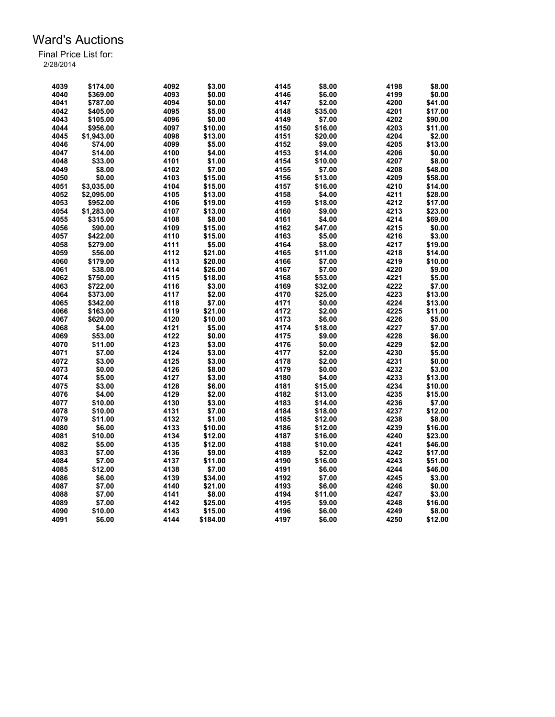| 4039         | \$174.00   | 4092         | \$3.00   | 4145         | \$8.00  | 4198 | \$8.00  |
|--------------|------------|--------------|----------|--------------|---------|------|---------|
| 4040         | \$369.00   | 4093         | \$0.00   | 4146         | \$6.00  | 4199 | \$0.00  |
| 4041         | \$787.00   | 4094         | \$0.00   | 4147         | \$2.00  | 4200 | \$41.00 |
| 4042         | \$405.00   | 4095         | \$5.00   | 4148         | \$35.00 | 4201 | \$17.00 |
| 4043         | \$105.00   | 4096         | \$0.00   | 4149         | \$7.00  | 4202 | \$90.00 |
| 4044         | \$956.00   | 4097         | \$10.00  | 4150         | \$16.00 | 4203 | \$11.00 |
| 4045         | \$1,943.00 | 4098         | \$13.00  | 4151         | \$20.00 | 4204 | \$2.00  |
| 4046         | \$74.00    | 4099         | \$5.00   | 4152         | \$9.00  | 4205 | \$13.00 |
| 4047         | \$14.00    | 4100         | \$4.00   | 4153         | \$14.00 | 4206 | \$0.00  |
| 4048         | \$33.00    | 4101         | \$1.00   | 4154         | \$10.00 | 4207 | \$8.00  |
| 4049         | \$8.00     | 4102         | \$7.00   | 4155         | \$7.00  | 4208 | \$48.00 |
| 4050         | \$0.00     | 4103         | \$15.00  | 4156         | \$13.00 | 4209 | \$58.00 |
| 4051         | \$3,035.00 | 4104         | \$15.00  | 4157         | \$16.00 | 4210 | \$14.00 |
| 4052         | \$2,095.00 | 4105         | \$13.00  | 4158         | \$4.00  | 4211 | \$28.00 |
| 4053         | \$952.00   | 4106         | \$19.00  | 4159         | \$18.00 | 4212 | \$17.00 |
| 4054         | \$1.283.00 | 4107         | \$13.00  | 4160         | \$9.00  | 4213 | \$23.00 |
| 4055         | \$315.00   | 4108         | \$8.00   | 4161         | \$4.00  | 4214 | \$69.00 |
| 4056         | \$90.00    | 4109         | \$15.00  | 4162         | \$47.00 | 4215 | \$0.00  |
|              |            |              |          |              |         | 4216 |         |
| 4057         | \$422.00   | 4110         | \$15.00  | 4163         | \$5.00  | 4217 | \$3.00  |
| 4058<br>4059 | \$279.00   | 4111<br>4112 | \$5.00   | 4164<br>4165 | \$8.00  | 4218 | \$19.00 |
|              | \$56.00    |              | \$21.00  |              | \$11.00 | 4219 | \$14.00 |
| 4060         | \$179.00   | 4113         | \$20.00  | 4166         | \$7.00  |      | \$10.00 |
| 4061         | \$38.00    | 4114         | \$26.00  | 4167         | \$7.00  | 4220 | \$9.00  |
| 4062         | \$750.00   | 4115         | \$18.00  | 4168         | \$53.00 | 4221 | \$5.00  |
| 4063         | \$722.00   | 4116         | \$3.00   | 4169         | \$32.00 | 4222 | \$7.00  |
| 4064         | \$373.00   | 4117         | \$2.00   | 4170         | \$25.00 | 4223 | \$13.00 |
| 4065         | \$342.00   | 4118         | \$7.00   | 4171         | \$0.00  | 4224 | \$13.00 |
| 4066         | \$163.00   | 4119         | \$21.00  | 4172         | \$2.00  | 4225 | \$11.00 |
| 4067         | \$620.00   | 4120         | \$10.00  | 4173         | \$6.00  | 4226 | \$5.00  |
| 4068         | \$4.00     | 4121         | \$5.00   | 4174         | \$18.00 | 4227 | \$7.00  |
| 4069         | \$53.00    | 4122         | \$0.00   | 4175         | \$9.00  | 4228 | \$6.00  |
| 4070         | \$11.00    | 4123         | \$3.00   | 4176         | \$0.00  | 4229 | \$2.00  |
| 4071         | \$7.00     | 4124         | \$3.00   | 4177         | \$2.00  | 4230 | \$5.00  |
| 4072         | \$3.00     | 4125         | \$3.00   | 4178         | \$2.00  | 4231 | \$0.00  |
| 4073         | \$0.00     | 4126         | \$8.00   | 4179         | \$0.00  | 4232 | \$3.00  |
| 4074         | \$5.00     | 4127         | \$3.00   | 4180         | \$4.00  | 4233 | \$13.00 |
| 4075         | \$3.00     | 4128         | \$6.00   | 4181         | \$15.00 | 4234 | \$10.00 |
| 4076         | \$4.00     | 4129         | \$2.00   | 4182         | \$13.00 | 4235 | \$15.00 |
| 4077         | \$10.00    | 4130         | \$3.00   | 4183         | \$14.00 | 4236 | \$7.00  |
| 4078         | \$10.00    | 4131         | \$7.00   | 4184         | \$18.00 | 4237 | \$12.00 |
| 4079         | \$11.00    | 4132         | \$1.00   | 4185         | \$12.00 | 4238 | \$8.00  |
| 4080         | \$6.00     | 4133         | \$10.00  | 4186         | \$12.00 | 4239 | \$16.00 |
| 4081         | \$10.00    | 4134         | \$12.00  | 4187         | \$16.00 | 4240 | \$23.00 |
| 4082         | \$5.00     | 4135         | \$12.00  | 4188         | \$10.00 | 4241 | \$46.00 |
| 4083         | \$7.00     | 4136         | \$9.00   | 4189         | \$2.00  | 4242 | \$17.00 |
| 4084         | \$7.00     | 4137         | \$11.00  | 4190         | \$16.00 | 4243 | \$51.00 |
| 4085         | \$12.00    | 4138         | \$7.00   | 4191         | \$6.00  | 4244 | \$46.00 |
| 4086         | \$6.00     | 4139         | \$34.00  | 4192         | \$7.00  | 4245 | \$3.00  |
| 4087         | \$7.00     | 4140         | \$21.00  | 4193         | \$6.00  | 4246 | \$0.00  |
| 4088         | \$7.00     | 4141         | \$8.00   | 4194         | \$11.00 | 4247 | \$3.00  |
| 4089         | \$7.00     | 4142         | \$25.00  | 4195         | \$9.00  | 4248 | \$16.00 |
| 4090         | \$10.00    | 4143         | \$15.00  | 4196         | \$6.00  | 4249 | \$8.00  |
| 4091         | \$6.00     | 4144         | \$184.00 | 4197         | \$6.00  | 4250 | \$12.00 |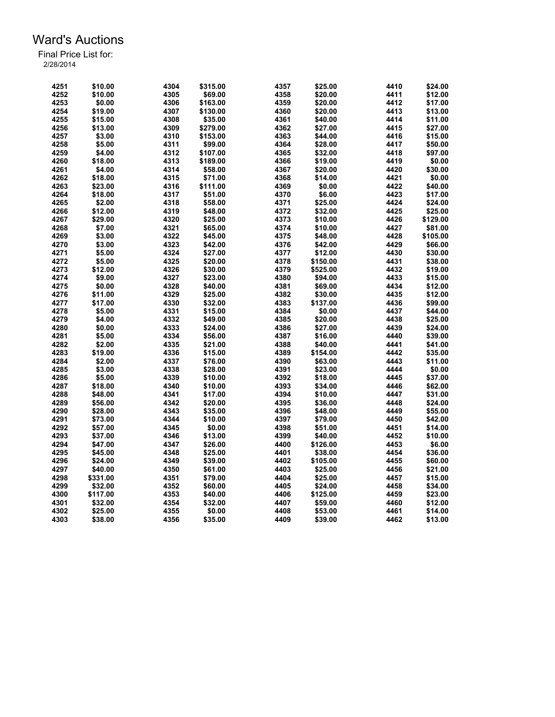| 4251 | \$10.00  | 4304 | \$315.00 | 4357 | \$25.00  | 4410 | \$24.00  |
|------|----------|------|----------|------|----------|------|----------|
| 4252 | \$10.00  | 4305 | \$69.00  | 4358 | \$20.00  | 4411 | \$12.00  |
| 4253 | \$0.00   | 4306 | \$163.00 | 4359 | \$20.00  | 4412 | \$17.00  |
| 4254 | \$19.00  | 4307 | \$130.00 | 4360 | \$20.00  | 4413 | \$13.00  |
| 4255 | \$15.00  | 4308 | \$35.00  | 4361 | \$40.00  | 4414 | \$11.00  |
| 4256 | \$13.00  | 4309 | \$279.00 | 4362 | \$27.00  | 4415 | \$27.00  |
| 4257 | \$3.00   | 4310 | \$153.00 | 4363 | \$44.00  | 4416 | \$15.00  |
| 4258 | \$5.00   | 4311 | \$99.00  | 4364 | \$28.00  | 4417 | \$50.00  |
| 4259 | \$4.00   | 4312 | \$107.00 | 4365 | \$32.00  | 4418 | \$97.00  |
| 4260 | \$18.00  | 4313 | \$189.00 | 4366 | \$19.00  | 4419 | \$0.00   |
| 4261 | \$4.00   | 4314 | \$58.00  | 4367 | \$20.00  | 4420 | \$30.00  |
| 4262 | \$18.00  | 4315 | \$71.00  | 4368 | \$14.00  | 4421 | \$0.00   |
| 4263 | \$23.00  | 4316 | \$111.00 | 4369 | \$0.00   | 4422 | \$40.00  |
| 4264 | \$18.00  | 4317 | \$51.00  | 4370 | \$6.00   | 4423 | \$17.00  |
| 4265 | \$2.00   | 4318 | \$58.00  | 4371 | \$25.00  | 4424 | \$24.00  |
| 4266 | \$12.00  | 4319 | \$48.00  | 4372 | \$32.00  | 4425 | \$25.00  |
| 4267 | \$29.00  | 4320 | \$25.00  | 4373 | \$10.00  | 4426 | \$129.00 |
| 4268 | \$7.00   | 4321 | \$65.00  | 4374 | \$10.00  | 4427 | \$81.00  |
| 4269 | \$3.00   |      |          | 4375 |          | 4428 |          |
| 4270 |          | 4322 | \$45.00  | 4376 | \$48.00  | 4429 | \$105.00 |
|      | \$3.00   | 4323 | \$42.00  |      | \$42.00  |      | \$66.00  |
| 4271 | \$5.00   | 4324 | \$27.00  | 4377 | \$12.00  | 4430 | \$30.00  |
| 4272 | \$5.00   | 4325 | \$20.00  | 4378 | \$150.00 | 4431 | \$38.00  |
| 4273 | \$12.00  | 4326 | \$30.00  | 4379 | \$525.00 | 4432 | \$19.00  |
| 4274 | \$9.00   | 4327 | \$23.00  | 4380 | \$94.00  | 4433 | \$15.00  |
| 4275 | \$0.00   | 4328 | \$40.00  | 4381 | \$69.00  | 4434 | \$12.00  |
| 4276 | \$11.00  | 4329 | \$25.00  | 4382 | \$30.00  | 4435 | \$12.00  |
| 4277 | \$17.00  | 4330 | \$32.00  | 4383 | \$137.00 | 4436 | \$99.00  |
| 4278 | \$5.00   | 4331 | \$15.00  | 4384 | \$0.00   | 4437 | \$44.00  |
| 4279 | \$4.00   | 4332 | \$49.00  | 4385 | \$20.00  | 4438 | \$25.00  |
| 4280 | \$0.00   | 4333 | \$24.00  | 4386 | \$27.00  | 4439 | \$24.00  |
| 4281 | \$5.00   | 4334 | \$56.00  | 4387 | \$16.00  | 4440 | \$39.00  |
| 4282 | \$2.00   | 4335 | \$21.00  | 4388 | \$40.00  | 4441 | \$41.00  |
| 4283 | \$19.00  | 4336 | \$15.00  | 4389 | \$154.00 | 4442 | \$35.00  |
| 4284 | \$2.00   | 4337 | \$76.00  | 4390 | \$63.00  | 4443 | \$11.00  |
| 4285 | \$3.00   | 4338 | \$28.00  | 4391 | \$23.00  | 4444 | \$0.00   |
| 4286 | \$5.00   | 4339 | \$10.00  | 4392 | \$18.00  | 4445 | \$37.00  |
| 4287 | \$18.00  | 4340 | \$10.00  | 4393 | \$34.00  | 4446 | \$62.00  |
| 4288 | \$48.00  | 4341 | \$17.00  | 4394 | \$10.00  | 4447 | \$31.00  |
| 4289 | \$56.00  | 4342 | \$20.00  | 4395 | \$36.00  | 4448 | \$24.00  |
| 4290 | \$28.00  | 4343 | \$35.00  | 4396 | \$48.00  | 4449 | \$55.00  |
| 4291 | \$73.00  | 4344 | \$10.00  | 4397 | \$79.00  | 4450 | \$42.00  |
| 4292 | \$57.00  | 4345 | \$0.00   | 4398 | \$51.00  | 4451 | \$14.00  |
| 4293 | \$37.00  | 4346 | \$13.00  | 4399 | \$40.00  | 4452 | \$10.00  |
| 4294 | \$47.00  | 4347 | \$26.00  | 4400 | \$126.00 | 4453 | \$6.00   |
| 4295 | \$45.00  | 4348 | \$25.00  | 4401 | \$38.00  | 4454 | \$36.00  |
| 4296 | \$24.00  | 4349 | \$39.00  | 4402 | \$105.00 | 4455 | \$60.00  |
| 4297 | \$40.00  | 4350 | \$61.00  | 4403 | \$25.00  | 4456 | \$21.00  |
| 4298 | \$331.00 | 4351 | \$79.00  | 4404 | \$25.00  | 4457 | \$15.00  |
| 4299 | \$32.00  | 4352 | \$60.00  | 4405 | \$24.00  | 4458 | \$34.00  |
| 4300 | \$117.00 | 4353 | \$40.00  | 4406 | \$125.00 | 4459 | \$23.00  |
| 4301 | \$32.00  | 4354 | \$32.00  | 4407 | \$59.00  | 4460 | \$12.00  |
| 4302 | \$25.00  | 4355 | \$0.00   | 4408 | \$53.00  | 4461 | \$14.00  |
| 4303 | \$38.00  | 4356 | \$35.00  | 4409 | \$39.00  | 4462 | \$13.00  |
|      |          |      |          |      |          |      |          |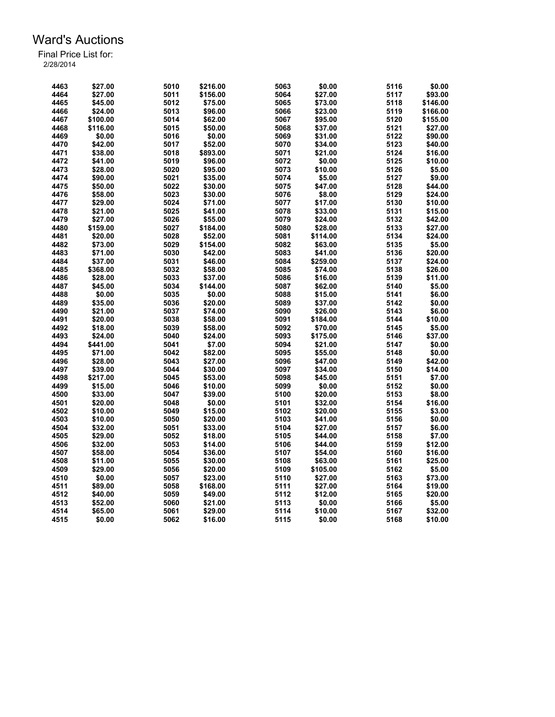| 4463 | \$27.00  | 5010 | \$216.00 | 5063 | \$0.00   | 5116 | \$0.00   |
|------|----------|------|----------|------|----------|------|----------|
| 4464 | \$27.00  | 5011 | \$156.00 | 5064 | \$27.00  | 5117 | \$93.00  |
| 4465 | \$45.00  | 5012 | \$75.00  | 5065 | \$73.00  | 5118 | \$146.00 |
| 4466 | \$24.00  | 5013 | \$96.00  | 5066 | \$23.00  | 5119 | \$166.00 |
| 4467 | \$100.00 | 5014 | \$62.00  | 5067 | \$95.00  | 5120 | \$155.00 |
| 4468 | \$116.00 | 5015 | \$50.00  | 5068 | \$37.00  | 5121 | \$27.00  |
| 4469 | \$0.00   | 5016 | \$0.00   | 5069 | \$31.00  | 5122 | \$90.00  |
| 4470 | \$42.00  | 5017 | \$52.00  | 5070 | \$34.00  | 5123 | \$40.00  |
| 4471 | \$38.00  | 5018 | \$893.00 | 5071 | \$21.00  | 5124 | \$16.00  |
| 4472 | \$41.00  | 5019 | \$96.00  | 5072 | \$0.00   | 5125 | \$10.00  |
| 4473 | \$28.00  | 5020 | \$95.00  | 5073 | \$10.00  | 5126 | \$5.00   |
| 4474 | \$90.00  | 5021 | \$35.00  | 5074 | \$5.00   | 5127 | \$9.00   |
| 4475 | \$50.00  | 5022 | \$30.00  | 5075 | \$47.00  | 5128 | \$44.00  |
| 4476 | \$58.00  | 5023 | \$30.00  | 5076 | \$8.00   | 5129 | \$24.00  |
| 4477 | \$29.00  | 5024 | \$71.00  | 5077 | \$17.00  | 5130 | \$10.00  |
| 4478 | \$21.00  | 5025 | \$41.00  | 5078 | \$33.00  | 5131 | \$15.00  |
| 4479 | \$27.00  | 5026 | \$55.00  | 5079 | \$24.00  | 5132 | \$42.00  |
| 4480 | \$159.00 | 5027 | \$184.00 | 5080 | \$28.00  | 5133 | \$27.00  |
| 4481 | \$20.00  | 5028 | \$52.00  | 5081 | \$114.00 | 5134 | \$24.00  |
| 4482 | \$73.00  | 5029 | \$154.00 | 5082 | \$63.00  | 5135 | \$5.00   |
|      |          |      |          | 5083 |          | 5136 |          |
| 4483 | \$71.00  | 5030 | \$42.00  |      | \$41.00  |      | \$20.00  |
| 4484 | \$37.00  | 5031 | \$46.00  | 5084 | \$259.00 | 5137 | \$24.00  |
| 4485 | \$368.00 | 5032 | \$58.00  | 5085 | \$74.00  | 5138 | \$26.00  |
| 4486 | \$28.00  | 5033 | \$37.00  | 5086 | \$16.00  | 5139 | \$11.00  |
| 4487 | \$45.00  | 5034 | \$144.00 | 5087 | \$62.00  | 5140 | \$5.00   |
| 4488 | \$0.00   | 5035 | \$0.00   | 5088 | \$15.00  | 5141 | \$6.00   |
| 4489 | \$35.00  | 5036 | \$20.00  | 5089 | \$37.00  | 5142 | \$0.00   |
| 4490 | \$21.00  | 5037 | \$74.00  | 5090 | \$26.00  | 5143 | \$6.00   |
| 4491 | \$20.00  | 5038 | \$58.00  | 5091 | \$184.00 | 5144 | \$10.00  |
| 4492 | \$18.00  | 5039 | \$58.00  | 5092 | \$70.00  | 5145 | \$5.00   |
| 4493 | \$24.00  | 5040 | \$24.00  | 5093 | \$175.00 | 5146 | \$37.00  |
| 4494 | \$441.00 | 5041 | \$7.00   | 5094 | \$21.00  | 5147 | \$0.00   |
| 4495 | \$71.00  | 5042 | \$82.00  | 5095 | \$55.00  | 5148 | \$0.00   |
| 4496 | \$28.00  | 5043 | \$27.00  | 5096 | \$47.00  | 5149 | \$42.00  |
| 4497 | \$39.00  | 5044 | \$30.00  | 5097 | \$34.00  | 5150 | \$14.00  |
| 4498 | \$217.00 | 5045 | \$53.00  | 5098 | \$45.00  | 5151 | \$7.00   |
| 4499 | \$15.00  | 5046 | \$10.00  | 5099 | \$0.00   | 5152 | \$0.00   |
| 4500 | \$33.00  | 5047 | \$39.00  | 5100 | \$20.00  | 5153 | \$8.00   |
| 4501 | \$20.00  | 5048 | \$0.00   | 5101 | \$32.00  | 5154 | \$16.00  |
| 4502 | \$10.00  | 5049 | \$15.00  | 5102 | \$20.00  | 5155 | \$3.00   |
| 4503 | \$10.00  | 5050 | \$20.00  | 5103 | \$41.00  | 5156 | \$0.00   |
| 4504 | \$32.00  | 5051 | \$33.00  | 5104 | \$27.00  | 5157 | \$6.00   |
| 4505 | \$29.00  | 5052 | \$18.00  | 5105 | \$44.00  | 5158 | \$7.00   |
| 4506 | \$32.00  | 5053 | \$14.00  | 5106 | \$44.00  | 5159 | \$12.00  |
| 4507 |          |      |          |      |          | 5160 | \$16.00  |
|      | \$58.00  | 5054 | \$36.00  | 5107 | \$54.00  |      |          |
| 4508 | \$11.00  | 5055 | \$30.00  | 5108 | \$63.00  | 5161 | \$25.00  |
| 4509 | \$29.00  | 5056 | \$20.00  | 5109 | \$105.00 | 5162 | \$5.00   |
| 4510 | \$0.00   | 5057 | \$23.00  | 5110 | \$27.00  | 5163 | \$73.00  |
| 4511 | \$89.00  | 5058 | \$168.00 | 5111 | \$27.00  | 5164 | \$19.00  |
| 4512 | \$40.00  | 5059 | \$49.00  | 5112 | \$12.00  | 5165 | \$20.00  |
| 4513 | \$52.00  | 5060 | \$21.00  | 5113 | \$0.00   | 5166 | \$5.00   |
| 4514 | \$65.00  | 5061 | \$29.00  | 5114 | \$10.00  | 5167 | \$32.00  |
| 4515 | \$0.00   | 5062 | \$16.00  | 5115 | \$0.00   | 5168 | \$10.00  |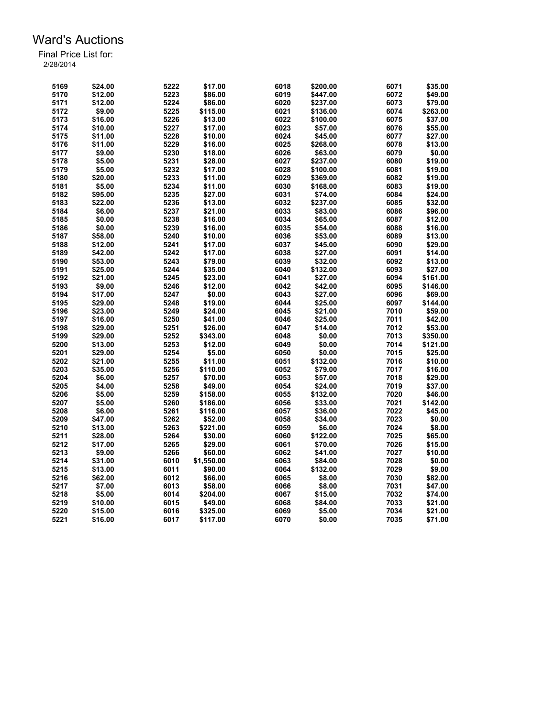| 5169 | \$24.00 | 5222 | \$17.00    | 6018 | \$200.00 | 6071 | \$35.00  |
|------|---------|------|------------|------|----------|------|----------|
| 5170 | \$12.00 | 5223 | \$86.00    | 6019 | \$447.00 | 6072 | \$49.00  |
| 5171 | \$12.00 | 5224 | \$86.00    | 6020 | \$237.00 | 6073 | \$79.00  |
| 5172 | \$9.00  | 5225 | \$115.00   | 6021 | \$136.00 | 6074 | \$263.00 |
| 5173 | \$16.00 | 5226 | \$13.00    | 6022 | \$100.00 | 6075 | \$37.00  |
| 5174 | \$10.00 | 5227 | \$17.00    | 6023 | \$57.00  | 6076 | \$55.00  |
| 5175 | \$11.00 | 5228 | \$10.00    | 6024 | \$45.00  | 6077 | \$27.00  |
| 5176 | \$11.00 | 5229 | \$16.00    | 6025 | \$268.00 | 6078 | \$13.00  |
| 5177 | \$9.00  | 5230 | \$18.00    | 6026 | \$63.00  | 6079 | \$0.00   |
| 5178 | \$5.00  | 5231 | \$28.00    | 6027 | \$237.00 | 6080 | \$19.00  |
| 5179 | \$5.00  | 5232 | \$17.00    | 6028 | \$100.00 | 6081 | \$19.00  |
| 5180 | \$20.00 | 5233 | \$11.00    | 6029 | \$369.00 | 6082 | \$19.00  |
| 5181 | \$5.00  | 5234 | \$11.00    | 6030 | \$168.00 | 6083 | \$19.00  |
| 5182 | \$95.00 | 5235 | \$27.00    | 6031 | \$74.00  | 6084 | \$24.00  |
| 5183 | \$22.00 | 5236 | \$13.00    | 6032 | \$237.00 | 6085 | \$32.00  |
| 5184 | \$6.00  | 5237 | \$21.00    | 6033 | \$83.00  | 6086 | \$96.00  |
| 5185 | \$0.00  | 5238 | \$16.00    | 6034 | \$65.00  | 6087 | \$12.00  |
| 5186 | \$0.00  | 5239 | \$16.00    | 6035 | \$54.00  | 6088 | \$16.00  |
|      |         |      |            |      |          |      |          |
| 5187 | \$58.00 | 5240 | \$10.00    | 6036 | \$53.00  | 6089 | \$13.00  |
| 5188 | \$12.00 | 5241 | \$17.00    | 6037 | \$45.00  | 6090 | \$29.00  |
| 5189 | \$42.00 | 5242 | \$17.00    | 6038 | \$27.00  | 6091 | \$14.00  |
| 5190 | \$53.00 | 5243 | \$79.00    | 6039 | \$32.00  | 6092 | \$13.00  |
| 5191 | \$25.00 | 5244 | \$35.00    | 6040 | \$132.00 | 6093 | \$27.00  |
| 5192 | \$21.00 | 5245 | \$23.00    | 6041 | \$27.00  | 6094 | \$161.00 |
| 5193 | \$9.00  | 5246 | \$12.00    | 6042 | \$42.00  | 6095 | \$146.00 |
| 5194 | \$17.00 | 5247 | \$0.00     | 6043 | \$27.00  | 6096 | \$69.00  |
| 5195 | \$29.00 | 5248 | \$19.00    | 6044 | \$25.00  | 6097 | \$144.00 |
| 5196 | \$23.00 | 5249 | \$24.00    | 6045 | \$21.00  | 7010 | \$59.00  |
| 5197 | \$16.00 | 5250 | \$41.00    | 6046 | \$25.00  | 7011 | \$42.00  |
| 5198 | \$29.00 | 5251 | \$26.00    | 6047 | \$14.00  | 7012 | \$53.00  |
| 5199 | \$29.00 | 5252 | \$343.00   | 6048 | \$0.00   | 7013 | \$350.00 |
| 5200 | \$13.00 | 5253 | \$12.00    | 6049 | \$0.00   | 7014 | \$121.00 |
| 5201 | \$29.00 | 5254 | \$5.00     | 6050 | \$0.00   | 7015 | \$25.00  |
| 5202 | \$21.00 | 5255 | \$11.00    | 6051 | \$132.00 | 7016 | \$10.00  |
| 5203 | \$35.00 | 5256 | \$110.00   | 6052 | \$79.00  | 7017 | \$16.00  |
| 5204 | \$6.00  | 5257 | \$70.00    | 6053 | \$57.00  | 7018 | \$29.00  |
| 5205 | \$4.00  | 5258 | \$49.00    | 6054 | \$24.00  | 7019 | \$37.00  |
| 5206 | \$5.00  | 5259 | \$158.00   | 6055 | \$132.00 | 7020 | \$46.00  |
| 5207 | \$5.00  | 5260 | \$186.00   | 6056 | \$33.00  | 7021 | \$142.00 |
| 5208 | \$6.00  | 5261 | \$116.00   | 6057 | \$36.00  | 7022 | \$45.00  |
| 5209 | \$47.00 | 5262 | \$52.00    | 6058 | \$34.00  | 7023 | \$0.00   |
| 5210 | \$13.00 | 5263 | \$221.00   | 6059 | \$6.00   | 7024 | \$8.00   |
| 5211 | \$28.00 | 5264 | \$30.00    | 6060 | \$122.00 | 7025 | \$65.00  |
| 5212 | \$17.00 | 5265 | \$29.00    | 6061 | \$70.00  | 7026 | \$15.00  |
| 5213 | \$9.00  | 5266 | \$60.00    | 6062 | \$41.00  | 7027 | \$10.00  |
| 5214 | \$31.00 | 6010 | \$1,550.00 | 6063 | \$84.00  | 7028 | \$0.00   |
| 5215 | \$13.00 | 6011 | \$90.00    | 6064 | \$132.00 | 7029 | \$9.00   |
| 5216 | \$62.00 | 6012 | \$66.00    | 6065 | \$8.00   | 7030 | \$82.00  |
| 5217 | \$7.00  | 6013 | \$58.00    | 6066 | \$8.00   | 7031 | \$47.00  |
| 5218 | \$5.00  | 6014 | \$204.00   | 6067 | \$15.00  | 7032 | \$74.00  |
| 5219 | \$10.00 | 6015 | \$49.00    | 6068 | \$84.00  | 7033 | \$21.00  |
| 5220 | \$15.00 | 6016 | \$325.00   | 6069 | \$5.00   | 7034 | \$21.00  |
| 5221 | \$16.00 | 6017 | \$117.00   | 6070 | \$0.00   | 7035 | \$71.00  |
|      |         |      |            |      |          |      |          |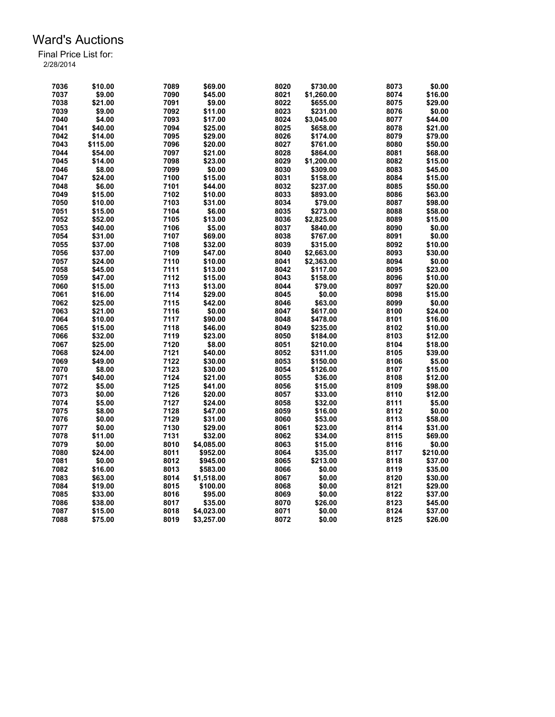| 7036 | \$10.00  | 7089 | \$69.00    | 8020 | \$730.00   | 8073 | \$0.00   |
|------|----------|------|------------|------|------------|------|----------|
|      |          |      |            | 8021 |            |      |          |
| 7037 | \$9.00   | 7090 | \$45.00    |      | \$1,260.00 | 8074 | \$16.00  |
| 7038 | \$21.00  | 7091 | \$9.00     | 8022 | \$655.00   | 8075 | \$29.00  |
| 7039 | \$9.00   | 7092 | \$11.00    | 8023 | \$231.00   | 8076 | \$0.00   |
| 7040 | \$4.00   | 7093 | \$17.00    | 8024 | \$3,045.00 | 8077 | \$44.00  |
| 7041 | \$40.00  | 7094 | \$25.00    | 8025 | \$658.00   | 8078 | \$21.00  |
| 7042 | \$14.00  | 7095 | \$29.00    | 8026 | \$174.00   | 8079 | \$79.00  |
| 7043 | \$115.00 | 7096 | \$20.00    | 8027 | \$761.00   | 8080 | \$50.00  |
| 7044 | \$54.00  | 7097 | \$21.00    | 8028 | \$864.00   | 8081 | \$68.00  |
| 7045 | \$14.00  | 7098 | \$23.00    | 8029 | \$1.200.00 | 8082 | \$15.00  |
| 7046 | \$8.00   | 7099 | \$0.00     | 8030 | \$309.00   | 8083 | \$45.00  |
| 7047 | \$24.00  | 7100 | \$15.00    | 8031 | \$158.00   | 8084 | \$15.00  |
| 7048 | \$6.00   | 7101 | \$44.00    | 8032 | \$237.00   | 8085 | \$50.00  |
| 7049 | \$15.00  | 7102 | \$10.00    | 8033 | \$893.00   | 8086 | \$63.00  |
| 7050 | \$10.00  | 7103 | \$31.00    | 8034 | \$79.00    | 8087 | \$98.00  |
| 7051 | \$15.00  | 7104 | \$6.00     | 8035 | \$273.00   | 8088 | \$58.00  |
| 7052 | \$52.00  | 7105 | \$13.00    | 8036 | \$2,825.00 | 8089 | \$15.00  |
| 7053 | \$40.00  | 7106 | \$5.00     | 8037 | \$840.00   | 8090 | \$0.00   |
| 7054 | \$31.00  | 7107 | \$69.00    | 8038 | \$767.00   | 8091 | \$0.00   |
| 7055 | \$37.00  | 7108 | \$32.00    | 8039 | \$315.00   | 8092 | \$10.00  |
| 7056 | \$37.00  | 7109 | \$47.00    | 8040 | \$2,663.00 | 8093 | \$30.00  |
| 7057 | \$24.00  | 7110 | \$10.00    | 8041 | \$2,363.00 | 8094 | \$0.00   |
| 7058 | \$45.00  | 7111 | \$13.00    | 8042 | \$117.00   | 8095 | \$23.00  |
| 7059 | \$47.00  | 7112 | \$15.00    | 8043 | \$158.00   | 8096 | \$10.00  |
| 7060 |          | 7113 |            | 8044 |            | 8097 | \$20.00  |
|      | \$15.00  |      | \$13.00    |      | \$79.00    |      |          |
| 7061 | \$16.00  | 7114 | \$29.00    | 8045 | \$0.00     | 8098 | \$15.00  |
| 7062 | \$25.00  | 7115 | \$42.00    | 8046 | \$63.00    | 8099 | \$0.00   |
| 7063 | \$21.00  | 7116 | \$0.00     | 8047 | \$617.00   | 8100 | \$24.00  |
| 7064 | \$10.00  | 7117 | \$90.00    | 8048 | \$478.00   | 8101 | \$16.00  |
| 7065 | \$15.00  | 7118 | \$46.00    | 8049 | \$235.00   | 8102 | \$10.00  |
| 7066 | \$32.00  | 7119 | \$23.00    | 8050 | \$184.00   | 8103 | \$12.00  |
| 7067 | \$25.00  | 7120 | \$8.00     | 8051 | \$210.00   | 8104 | \$18.00  |
| 7068 | \$24.00  | 7121 | \$40.00    | 8052 | \$311.00   | 8105 | \$39.00  |
| 7069 | \$49.00  | 7122 | \$30.00    | 8053 | \$150.00   | 8106 | \$5.00   |
| 7070 | \$8.00   | 7123 | \$30.00    | 8054 | \$126.00   | 8107 | \$15.00  |
| 7071 | \$40.00  | 7124 | \$21.00    | 8055 | \$36.00    | 8108 | \$12.00  |
| 7072 | \$5.00   | 7125 | \$41.00    | 8056 | \$15.00    | 8109 | \$98.00  |
| 7073 | \$0.00   | 7126 | \$20.00    | 8057 | \$33.00    | 8110 | \$12.00  |
| 7074 | \$5.00   | 7127 | \$24.00    | 8058 | \$32.00    | 8111 | \$5.00   |
| 7075 | \$8.00   | 7128 | \$47.00    | 8059 | \$16.00    | 8112 | \$0.00   |
| 7076 | \$0.00   | 7129 | \$31.00    | 8060 | \$53.00    | 8113 | \$58.00  |
| 7077 | \$0.00   | 7130 | \$29.00    | 8061 | \$23.00    | 8114 | \$31.00  |
| 7078 | \$11.00  | 7131 | \$32.00    | 8062 | \$34.00    | 8115 | \$69.00  |
| 7079 | \$0.00   | 8010 | \$4,085.00 | 8063 | \$15.00    | 8116 | \$0.00   |
| 7080 | \$24.00  | 8011 | \$952.00   | 8064 | \$35.00    | 8117 | \$210.00 |
| 7081 | \$0.00   | 8012 | \$945.00   | 8065 | \$213.00   | 8118 | \$37.00  |
| 7082 | \$16.00  | 8013 | \$583.00   | 8066 | \$0.00     | 8119 | \$35.00  |
| 7083 | \$63.00  | 8014 | \$1,518.00 | 8067 | \$0.00     | 8120 | \$30.00  |
| 7084 | \$19.00  | 8015 | \$100.00   | 8068 | \$0.00     | 8121 | \$29.00  |
| 7085 | \$33.00  | 8016 | \$95.00    | 8069 | \$0.00     | 8122 | \$37.00  |
| 7086 | \$38.00  | 8017 | \$35.00    | 8070 | \$26.00    | 8123 | \$45.00  |
| 7087 | \$15.00  | 8018 | \$4,023.00 | 8071 | \$0.00     | 8124 | \$37.00  |
|      |          |      |            |      |            |      |          |
| 7088 | \$75.00  | 8019 | \$3,257.00 | 8072 | \$0.00     | 8125 | \$26.00  |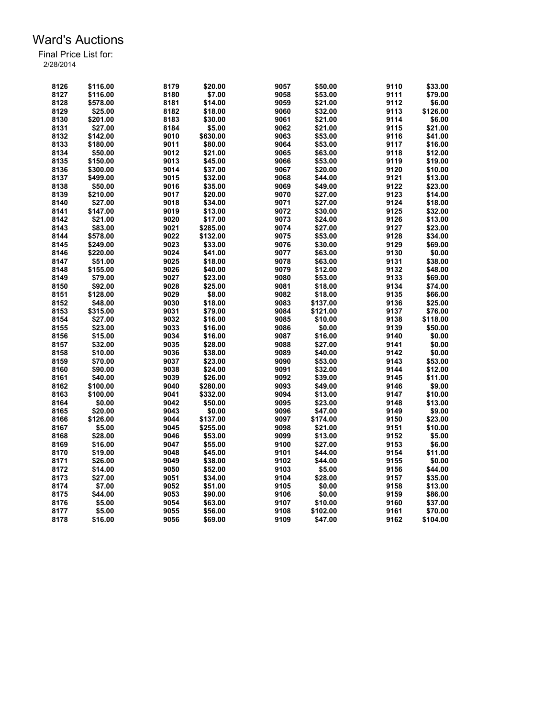| 8126 | \$116.00 | 8179 | \$20.00  | 9057 | \$50.00  | 9110 | \$33.00  |
|------|----------|------|----------|------|----------|------|----------|
| 8127 | \$116.00 | 8180 | \$7.00   | 9058 | \$53.00  | 9111 | \$79.00  |
| 8128 | \$578.00 | 8181 | \$14.00  | 9059 | \$21.00  | 9112 | \$6.00   |
| 8129 | \$25.00  | 8182 | \$18.00  | 9060 | \$32.00  | 9113 | \$126.00 |
| 8130 | \$201.00 | 8183 | \$30.00  | 9061 | \$21.00  | 9114 | \$6.00   |
| 8131 | \$27.00  | 8184 | \$5.00   | 9062 | \$21.00  | 9115 | \$21.00  |
| 8132 | \$142.00 | 9010 | \$630.00 | 9063 | \$53.00  | 9116 | \$41.00  |
| 8133 | \$180.00 | 9011 | \$80.00  | 9064 | \$53.00  | 9117 | \$16.00  |
| 8134 | \$50.00  | 9012 | \$21.00  | 9065 | \$63.00  | 9118 | \$12.00  |
| 8135 | \$150.00 | 9013 | \$45.00  | 9066 | \$53.00  | 9119 | \$19.00  |
| 8136 | \$300.00 | 9014 | \$37.00  | 9067 | \$20.00  | 9120 | \$10.00  |
| 8137 | \$499.00 | 9015 | \$32.00  | 9068 | \$44.00  | 9121 | \$13.00  |
| 8138 | \$50.00  | 9016 | \$35.00  | 9069 | \$49.00  | 9122 | \$23.00  |
| 8139 | \$210.00 | 9017 | \$20.00  | 9070 | \$27.00  | 9123 | \$14.00  |
| 8140 | \$27.00  | 9018 | \$34.00  | 9071 | \$27.00  | 9124 | \$18.00  |
| 8141 | \$147.00 | 9019 | \$13.00  | 9072 | \$30.00  | 9125 | \$32.00  |
| 8142 | \$21.00  | 9020 | \$17.00  | 9073 | \$24.00  | 9126 | \$13.00  |
| 8143 | \$83.00  | 9021 | \$285.00 | 9074 | \$27.00  | 9127 | \$23.00  |
| 8144 | \$578.00 | 9022 | \$132.00 | 9075 | \$53.00  | 9128 | \$34.00  |
| 8145 | \$249.00 | 9023 | \$33.00  | 9076 | \$30.00  | 9129 | \$69.00  |
| 8146 | \$220.00 | 9024 | \$41.00  | 9077 | \$63.00  | 9130 | \$0.00   |
| 8147 |          | 9025 | \$18.00  |      |          | 9131 |          |
| 8148 | \$51.00  | 9026 |          | 9078 | \$63.00  |      | \$38.00  |
|      | \$155.00 |      | \$40.00  | 9079 | \$12.00  | 9132 | \$48.00  |
| 8149 | \$79.00  | 9027 | \$23.00  | 9080 | \$53.00  | 9133 | \$69.00  |
| 8150 | \$92.00  | 9028 | \$25.00  | 9081 | \$18.00  | 9134 | \$74.00  |
| 8151 | \$128.00 | 9029 | \$8.00   | 9082 | \$18.00  | 9135 | \$66.00  |
| 8152 | \$48.00  | 9030 | \$18.00  | 9083 | \$137.00 | 9136 | \$25.00  |
| 8153 | \$315.00 | 9031 | \$79.00  | 9084 | \$121.00 | 9137 | \$76.00  |
| 8154 | \$27.00  | 9032 | \$16.00  | 9085 | \$10.00  | 9138 | \$118.00 |
| 8155 | \$23.00  | 9033 | \$16.00  | 9086 | \$0.00   | 9139 | \$50.00  |
| 8156 | \$15.00  | 9034 | \$16.00  | 9087 | \$16.00  | 9140 | \$0.00   |
| 8157 | \$32.00  | 9035 | \$28.00  | 9088 | \$27.00  | 9141 | \$0.00   |
| 8158 | \$10.00  | 9036 | \$38.00  | 9089 | \$40.00  | 9142 | \$0.00   |
| 8159 | \$70.00  | 9037 | \$23.00  | 9090 | \$53.00  | 9143 | \$53.00  |
| 8160 | \$90.00  | 9038 | \$24.00  | 9091 | \$32.00  | 9144 | \$12.00  |
| 8161 | \$40.00  | 9039 | \$26.00  | 9092 | \$39.00  | 9145 | \$11.00  |
| 8162 | \$100.00 | 9040 | \$280.00 | 9093 | \$49.00  | 9146 | \$9.00   |
| 8163 | \$100.00 | 9041 | \$332.00 | 9094 | \$13.00  | 9147 | \$10.00  |
| 8164 | \$0.00   | 9042 | \$50.00  | 9095 | \$23.00  | 9148 | \$13.00  |
| 8165 | \$20.00  | 9043 | \$0.00   | 9096 | \$47.00  | 9149 | \$9.00   |
| 8166 | \$126.00 | 9044 | \$137.00 | 9097 | \$174.00 | 9150 | \$23.00  |
| 8167 | \$5.00   | 9045 | \$255.00 | 9098 | \$21.00  | 9151 | \$10.00  |
| 8168 | \$28.00  | 9046 | \$53.00  | 9099 | \$13.00  | 9152 | \$5.00   |
| 8169 | \$16.00  | 9047 | \$55.00  | 9100 | \$27.00  | 9153 | \$6.00   |
| 8170 | \$19.00  | 9048 | \$45.00  | 9101 | \$44.00  | 9154 | \$11.00  |
| 8171 | \$26.00  | 9049 | \$38.00  | 9102 | \$44.00  | 9155 | \$0.00   |
| 8172 | \$14.00  | 9050 | \$52.00  | 9103 | \$5.00   | 9156 | \$44.00  |
| 8173 | \$27.00  | 9051 | \$34.00  | 9104 | \$28.00  | 9157 | \$35.00  |
| 8174 | \$7.00   | 9052 | \$51.00  | 9105 | \$0.00   | 9158 | \$13.00  |
| 8175 | \$44.00  | 9053 | \$90.00  | 9106 | \$0.00   | 9159 | \$86.00  |
| 8176 | \$5.00   | 9054 | \$63.00  | 9107 | \$10.00  | 9160 | \$37.00  |
| 8177 | \$5.00   | 9055 | \$56.00  | 9108 | \$102.00 | 9161 | \$70.00  |
| 8178 | \$16.00  | 9056 | \$69.00  | 9109 | \$47.00  | 9162 | \$104.00 |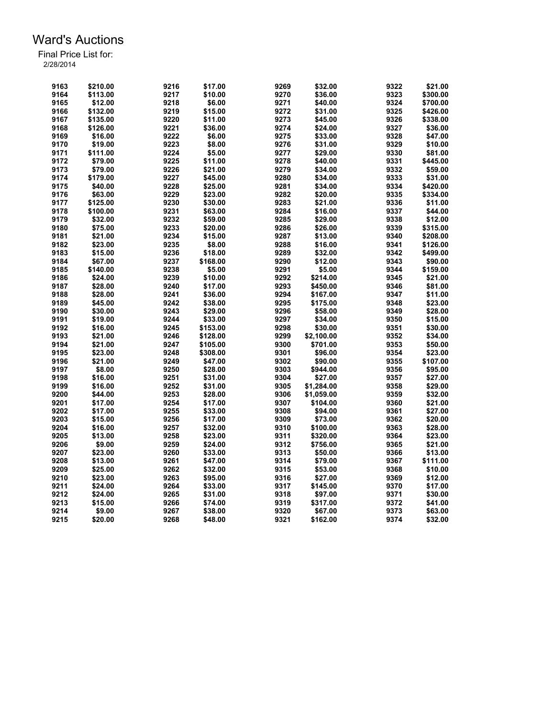| 9163 |          | 9216 |          | 9269 |            | 9322 |          |
|------|----------|------|----------|------|------------|------|----------|
|      | \$210.00 |      | \$17.00  |      | \$32.00    |      | \$21.00  |
| 9164 | \$113.00 | 9217 | \$10.00  | 9270 | \$36.00    | 9323 | \$300.00 |
| 9165 | \$12.00  | 9218 | \$6.00   | 9271 | \$40.00    | 9324 | \$700.00 |
| 9166 | \$132.00 | 9219 | \$15.00  | 9272 | \$31.00    | 9325 | \$426.00 |
| 9167 | \$135.00 | 9220 | \$11.00  | 9273 | \$45.00    | 9326 | \$338.00 |
| 9168 | \$126.00 | 9221 | \$36.00  | 9274 | \$24.00    | 9327 | \$36.00  |
| 9169 | \$16.00  | 9222 | \$6.00   | 9275 | \$33.00    | 9328 | \$47.00  |
| 9170 | \$19.00  | 9223 | \$8.00   | 9276 | \$31.00    | 9329 | \$10.00  |
| 9171 | \$111.00 | 9224 | \$5.00   | 9277 | \$29.00    | 9330 | \$81.00  |
| 9172 | \$79.00  | 9225 | \$11.00  | 9278 | \$40.00    | 9331 | \$445.00 |
| 9173 | \$79.00  | 9226 | \$21.00  | 9279 | \$34.00    | 9332 | \$59.00  |
| 9174 | \$179.00 | 9227 | \$45.00  | 9280 | \$34.00    | 9333 | \$31.00  |
| 9175 | \$40.00  | 9228 | \$25.00  | 9281 | \$34.00    | 9334 | \$420.00 |
| 9176 | \$63.00  | 9229 | \$23.00  | 9282 | \$20.00    | 9335 | \$334.00 |
| 9177 | \$125.00 | 9230 | \$30.00  | 9283 | \$21.00    | 9336 | \$11.00  |
| 9178 | \$100.00 | 9231 | \$63.00  | 9284 | \$16.00    | 9337 | \$44.00  |
| 9179 |          | 9232 |          |      |            | 9338 | \$12.00  |
|      | \$32.00  |      | \$59.00  | 9285 | \$29.00    |      |          |
| 9180 | \$75.00  | 9233 | \$20.00  | 9286 | \$26.00    | 9339 | \$315.00 |
| 9181 | \$21.00  | 9234 | \$15.00  | 9287 | \$13.00    | 9340 | \$208.00 |
| 9182 | \$23.00  | 9235 | \$8.00   | 9288 | \$16.00    | 9341 | \$126.00 |
| 9183 | \$15.00  | 9236 | \$18.00  | 9289 | \$32.00    | 9342 | \$499.00 |
| 9184 | \$67.00  | 9237 | \$168.00 | 9290 | \$12.00    | 9343 | \$90.00  |
| 9185 | \$140.00 | 9238 | \$5.00   | 9291 | \$5.00     | 9344 | \$159.00 |
| 9186 | \$24.00  | 9239 | \$10.00  | 9292 | \$214.00   | 9345 | \$21.00  |
| 9187 | \$28.00  | 9240 | \$17.00  | 9293 | \$450.00   | 9346 | \$81.00  |
| 9188 | \$28.00  | 9241 | \$36.00  | 9294 | \$167.00   | 9347 | \$11.00  |
| 9189 | \$45.00  | 9242 | \$38.00  | 9295 | \$175.00   | 9348 | \$23.00  |
| 9190 | \$30.00  | 9243 | \$29.00  | 9296 | \$58.00    | 9349 | \$28.00  |
| 9191 | \$19.00  | 9244 | \$33.00  | 9297 | \$34.00    | 9350 | \$15.00  |
| 9192 | \$16.00  | 9245 | \$153.00 | 9298 | \$30.00    | 9351 | \$30.00  |
| 9193 | \$21.00  | 9246 | \$128.00 | 9299 | \$2,100.00 | 9352 | \$34.00  |
| 9194 | \$21.00  | 9247 | \$105.00 | 9300 | \$701.00   | 9353 | \$50.00  |
| 9195 | \$23.00  | 9248 | \$308.00 | 9301 | \$96.00    | 9354 | \$23.00  |
| 9196 | \$21.00  | 9249 | \$47.00  | 9302 | \$90.00    | 9355 | \$107.00 |
| 9197 | \$8.00   | 9250 | \$28.00  | 9303 | \$944.00   | 9356 | \$95.00  |
| 9198 | \$16.00  | 9251 | \$31.00  | 9304 | \$27.00    | 9357 | \$27.00  |
| 9199 |          |      |          |      |            |      |          |
|      | \$16.00  | 9252 | \$31.00  | 9305 | \$1,284.00 | 9358 | \$29.00  |
| 9200 | \$44.00  | 9253 | \$28.00  | 9306 | \$1,059.00 | 9359 | \$32.00  |
| 9201 | \$17.00  | 9254 | \$17.00  | 9307 | \$104.00   | 9360 | \$21.00  |
| 9202 | \$17.00  | 9255 | \$33.00  | 9308 | \$94.00    | 9361 | \$27.00  |
| 9203 | \$15.00  | 9256 | \$17.00  | 9309 | \$73.00    | 9362 | \$20.00  |
| 9204 | \$16.00  | 9257 | \$32.00  | 9310 | \$100.00   | 9363 | \$28.00  |
| 9205 | \$13.00  | 9258 | \$23.00  | 9311 | \$320.00   | 9364 | \$23.00  |
| 9206 | \$9.00   | 9259 | \$24.00  | 9312 | \$756.00   | 9365 | \$21.00  |
| 9207 | \$23.00  | 9260 | \$33.00  | 9313 | \$50.00    | 9366 | \$13.00  |
| 9208 | \$13.00  | 9261 | \$47.00  | 9314 | \$79.00    | 9367 | \$111.00 |
| 9209 | \$25.00  | 9262 | \$32.00  | 9315 | \$53.00    | 9368 | \$10.00  |
| 9210 | \$23.00  | 9263 | \$95.00  | 9316 | \$27.00    | 9369 | \$12.00  |
| 9211 | \$24.00  | 9264 | \$33.00  | 9317 | \$145.00   | 9370 | \$17.00  |
| 9212 | \$24.00  | 9265 | \$31.00  | 9318 | \$97.00    | 9371 | \$30.00  |
| 9213 | \$15.00  | 9266 | \$74.00  | 9319 | \$317.00   | 9372 | \$41.00  |
| 9214 | \$9.00   | 9267 | \$38.00  | 9320 | \$67.00    | 9373 | \$63.00  |
| 9215 | \$20.00  | 9268 | \$48.00  | 9321 | \$162.00   | 9374 | \$32.00  |
|      |          |      |          |      |            |      |          |